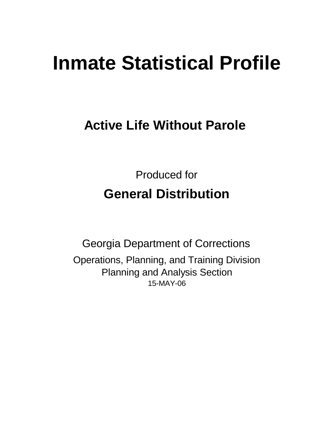# **Inmate Statistical Profile**

**Active Life Without Parole** 

Produced for **General Distribution**

15-MAY-06 Georgia Department of Corrections Operations, Planning, and Training Division Planning and Analysis Section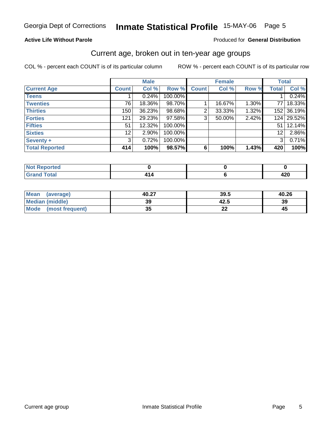#### **Active Life Without Parole**

#### Produced for **General Distribution**

### Current age, broken out in ten-year age groups

|                       |                   | <b>Male</b> |         |              | <b>Female</b> |       | <b>Total</b>   |            |
|-----------------------|-------------------|-------------|---------|--------------|---------------|-------|----------------|------------|
| <b>Current Age</b>    | <b>Count</b>      | Col %       | Row %   | <b>Count</b> | Col %         | Row % | <b>Total</b>   | Col %      |
| <b>Teens</b>          |                   | 0.24%       | 100.00% |              |               |       |                | 0.24%      |
| <b>Twenties</b>       | 76                | 18.36%      | 98.70%  |              | 16.67%        | 1.30% | 77 I           | 18.33%     |
| <b>Thirties</b>       | 150               | 36.23%      | 98.68%  | 2            | 33.33%        | 1.32% |                | 152 36.19% |
| <b>Forties</b>        | 121               | 29.23%      | 97.58%  | 3            | 50.00%        | 2.42% | 124            | 29.52%     |
| <b>Fifties</b>        | 51                | 12.32%      | 100.00% |              |               |       | 51             | 12.14%     |
| <b>Sixties</b>        | $12 \overline{ }$ | 2.90%       | 100.00% |              |               |       | 12             | 2.86%      |
| Seventy +             | 3                 | 0.72%       | 100.00% |              |               |       | 3 <sup>1</sup> | 0.71%      |
| <b>Total Reported</b> | 414               | 100%        | 98.57%  | 6            | 100%          | 1.43% | 420            | 100%       |

| <b>STAR</b><br>المراسم بالمس<br>τeα<br>N<br>$\sim$ |  |             |
|----------------------------------------------------|--|-------------|
| $F \sim 4 \sim 7$<br><b>.</b><br>_                 |  | "^^<br>44 V |

| Mean<br>(average)       | 40.27    | 39.5      | 40.26 |
|-------------------------|----------|-----------|-------|
| <b>Median (middle)</b>  | 39       | 42.5      | 39    |
| Mode<br>(most frequent) | 25<br>vu | 00<br>. . | 45    |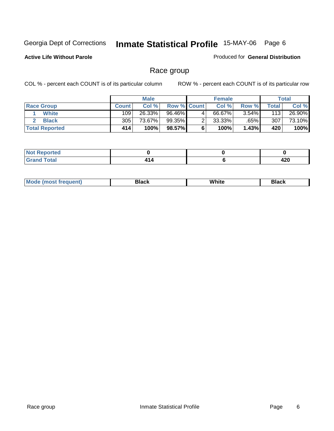### **Active Life Without Parole**

#### Produced for **General Distribution**

### Race group

|                       |              | <b>Male</b> |                    |   | <b>Female</b> |          |       | <b>Total</b> |
|-----------------------|--------------|-------------|--------------------|---|---------------|----------|-------|--------------|
| <b>Race Group</b>     | <b>Count</b> | Col %       | <b>Row % Count</b> |   | Col %         | Row %    | Total | Col %        |
| White                 | 109          | 26.33%      | 96.46%             | 4 | 66.67%        | $3.54\%$ | 113   | 26.90%       |
| <b>Black</b>          | 305          | 73.67%      | 99.35%             | 2 | 33.33%        | $.65\%$  | 307   | 73.10%       |
| <b>Total Reported</b> | 414          | 100%        | 98.57%             |   | 100%          | 1.43%    | 420   | 100%         |

| norted<br>ive:100.00<br>.<br>$\cdots$ |                  |             |
|---------------------------------------|------------------|-------------|
| Total<br>_____                        | <b>A</b><br>- 14 | ,,,<br>44 U |

| ' M∩<br>nuemn<br> | Black | White | 3lack |
|-------------------|-------|-------|-------|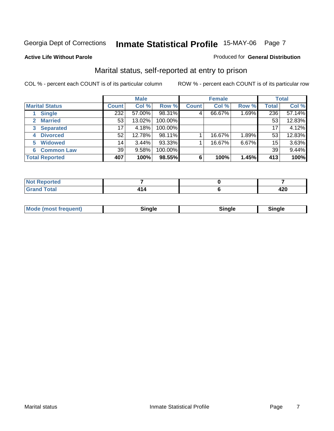#### **Active Life Without Parole**

#### Produced for **General Distribution**

### Marital status, self-reported at entry to prison

|                        |              | <b>Male</b> |         |              | <b>Female</b> |       |              | <b>Total</b> |
|------------------------|--------------|-------------|---------|--------------|---------------|-------|--------------|--------------|
| <b>Marital Status</b>  | <b>Count</b> | Col %       | Row %   | <b>Count</b> | Col %         | Row % | <b>Total</b> | Col %        |
| <b>Single</b>          | 232          | 57.00%      | 98.31%  | 4            | 66.67%        | 1.69% | 236          | 57.14%       |
| <b>Married</b>         | 53           | 13.02%      | 100.00% |              |               |       | 53           | 12.83%       |
| <b>Separated</b><br>3  | 17           | 4.18%       | 100.00% |              |               |       | 17           | 4.12%        |
| <b>Divorced</b><br>4   | 52           | 12.78%      | 98.11%  |              | 16.67%        | 1.89% | 53           | 12.83%       |
| <b>Widowed</b><br>5    | 14           | 3.44%       | 93.33%  |              | 16.67%        | 6.67% | 15           | 3.63%        |
| <b>Common Law</b><br>6 | 39           | 9.58%       | 100.00% |              |               |       | 39           | 9.44%        |
| <b>Total Reported</b>  | 407          | 100%        | 98.55%  | 6            | 100%          | 1.45% | 413          | 100%         |

| rted.<br>m.                                          |  |            |
|------------------------------------------------------|--|------------|
| $f \wedge f \wedge f$<br>$\sim$ $\sim$ $\sim$ $\sim$ |  | חהו<br>44V |

|  | Mode (most frequent) | Sinale | ⊡nαle | male and a |
|--|----------------------|--------|-------|------------|
|--|----------------------|--------|-------|------------|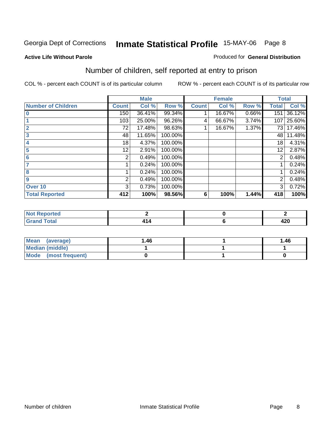#### **Active Life Without Parole**

#### Produced for **General Distribution**

### Number of children, self reported at entry to prison

|                           |              | <b>Male</b> |         |              | <b>Female</b> |       | <b>Total</b> |        |
|---------------------------|--------------|-------------|---------|--------------|---------------|-------|--------------|--------|
| <b>Number of Children</b> | <b>Count</b> | Col %       | Row %   | <b>Count</b> | Col %         | Row % | <b>Total</b> | Col %  |
| $\bf{0}$                  | 150          | 36.41%      | 99.34%  |              | 16.67%        | 0.66% | 151          | 36.12% |
|                           | 103          | 25.00%      | 96.26%  | 4            | 66.67%        | 3.74% | 107          | 25.60% |
| $\overline{2}$            | 72           | 17.48%      | 98.63%  |              | 16.67%        | 1.37% | 73           | 17.46% |
| 3                         | 48           | 11.65%      | 100.00% |              |               |       | 48           | 11.48% |
| 4                         | 18           | 4.37%       | 100.00% |              |               |       | 18           | 4.31%  |
| 5                         | 12           | 2.91%       | 100.00% |              |               |       | 12           | 2.87%  |
| 6                         | 2            | 0.49%       | 100.00% |              |               |       | 2            | 0.48%  |
|                           |              | 0.24%       | 100.00% |              |               |       |              | 0.24%  |
| 8                         |              | 0.24%       | 100.00% |              |               |       |              | 0.24%  |
| 9                         | 2            | 0.49%       | 100.00% |              |               |       | 2            | 0.48%  |
| Over 10                   | 3            | 0.73%       | 100.00% |              |               |       | 3            | 0.72%  |
| <b>Total Reported</b>     | 412          | 100%        | 98.56%  | 6            | 100%          | 1.44% | 418          | 100%   |

| المناسبة المست<br>теа<br>. |  |            |
|----------------------------|--|------------|
| $T = 4$<br>-               |  | ,,,<br>42V |

| Mean<br>(average)    | 1.46 | 1.46 |
|----------------------|------|------|
| Median (middle)      |      |      |
| Mode (most frequent) |      |      |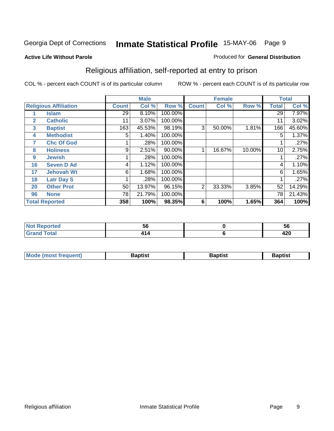#### **Active Life Without Parole**

#### Produced for **General Distribution**

### Religious affiliation, self-reported at entry to prison

|              |                              |              | <b>Male</b> |         |                | <b>Female</b> |        |              | <b>Total</b> |
|--------------|------------------------------|--------------|-------------|---------|----------------|---------------|--------|--------------|--------------|
|              | <b>Religious Affiliation</b> | <b>Count</b> | Col %       | Row %   | <b>Count</b>   | Col %         | Row %  | <b>Total</b> | Col %        |
|              | <b>Islam</b>                 | 29           | 8.10%       | 100.00% |                |               |        | 29           | 7.97%        |
| $\mathbf{2}$ | <b>Catholic</b>              | 11           | 3.07%       | 100.00% |                |               |        | 11           | 3.02%        |
| 3            | <b>Baptist</b>               | 163          | 45.53%      | 98.19%  | 3              | 50.00%        | 1.81%  | 166          | 45.60%       |
| 4            | <b>Methodist</b>             | 5            | 1.40%       | 100.00% |                |               |        | 5            | 1.37%        |
| 7            | <b>Chc Of God</b>            |              | .28%        | 100.00% |                |               |        |              | .27%         |
| 8            | <b>Holiness</b>              | 9            | 2.51%       | 90.00%  |                | 16.67%        | 10.00% | 10           | 2.75%        |
| 9            | <b>Jewish</b>                |              | .28%        | 100.00% |                |               |        |              | .27%         |
| 16           | <b>Seven D Ad</b>            | 4            | 1.12%       | 100.00% |                |               |        | 4            | 1.10%        |
| 17           | <b>Jehovah Wt</b>            | 6            | 1.68%       | 100.00% |                |               |        | 6            | 1.65%        |
| 18           | <b>Latr Day S</b>            |              | .28%        | 100.00% |                |               |        |              | .27%         |
| 20           | <b>Other Prot</b>            | 50           | 13.97%      | 96.15%  | $\overline{2}$ | 33.33%        | 3.85%  | 52           | 14.29%       |
| 96           | <b>None</b>                  | 78           | 21.79%      | 100.00% |                |               |        | 78           | 21.43%       |
|              | <b>Total Reported</b>        | 358          | 100%        | 98.35%  | 6              | 100%          | 1.65%  | 364          | 100%         |

| <b>Continued by Allen</b><br>'ted | - -<br>JU | วง          |
|-----------------------------------|-----------|-------------|
| 'ota.                             |           | מרו<br>44 U |

| l Mo          | <b>aptist</b> | 3aptist              | Baptis. |
|---------------|---------------|----------------------|---------|
| <b>auent)</b> |               | $\sim$ $\sim$ $\sim$ |         |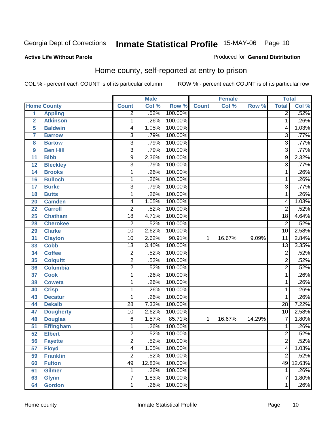#### **Active Life Without Parole**

#### Produced for **General Distribution**

### Home county, self-reported at entry to prison

|                 |                    |                 | <b>Male</b> |         |              | Female |        | <b>Total</b>    |        |
|-----------------|--------------------|-----------------|-------------|---------|--------------|--------|--------|-----------------|--------|
|                 | <b>Home County</b> | <b>Count</b>    | Col %       | Row %   | <b>Count</b> | Col %  | Row %  | <b>Total</b>    | Col %  |
| $\overline{1}$  | <b>Appling</b>     | $\overline{2}$  | .52%        | 100.00% |              |        |        | $\overline{2}$  | .52%   |
| $\overline{2}$  | <b>Atkinson</b>    | 1               | .26%        | 100.00% |              |        |        | 1               | .26%   |
| 5               | <b>Baldwin</b>     | 4               | 1.05%       | 100.00% |              |        |        | 4               | 1.03%  |
| $\overline{7}$  | <b>Barrow</b>      | 3               | .79%        | 100.00% |              |        |        | 3               | .77%   |
| 8               | <b>Bartow</b>      | $\overline{3}$  | .79%        | 100.00% |              |        |        | $\overline{3}$  | .77%   |
| 9               | <b>Ben Hill</b>    | $\overline{3}$  | .79%        | 100.00% |              |        |        | $\overline{3}$  | .77%   |
| 11              | <b>Bibb</b>        | $\overline{9}$  | 2.36%       | 100.00% |              |        |        | 9               | 2.32%  |
| 12              | <b>Bleckley</b>    | 3               | .79%        | 100.00% |              |        |        | 3               | .77%   |
| 14              | <b>Brooks</b>      | 1               | .26%        | 100.00% |              |        |        | 1               | .26%   |
| 16              | <b>Bulloch</b>     | 1               | .26%        | 100.00% |              |        |        | 1               | .26%   |
| 17              | <b>Burke</b>       | $\overline{3}$  | .79%        | 100.00% |              |        |        | 3               | .77%   |
| 18              | <b>Butts</b>       | 1               | .26%        | 100.00% |              |        |        | $\mathbf{1}$    | .26%   |
| 20              | <b>Camden</b>      | 4               | 1.05%       | 100.00% |              |        |        | 4               | 1.03%  |
| 22              | <b>Carroll</b>     | $\overline{2}$  | .52%        | 100.00% |              |        |        | $\overline{2}$  | .52%   |
| 25              | <b>Chatham</b>     | $\overline{18}$ | 4.71%       | 100.00% |              |        |        | 18              | 4.64%  |
| 28              | <b>Cherokee</b>    | $\overline{2}$  | .52%        | 100.00% |              |        |        | $\overline{2}$  | .52%   |
| 29              | <b>Clarke</b>      | $\overline{10}$ | 2.62%       | 100.00% |              |        |        | 10              | 2.58%  |
| 31              | <b>Clayton</b>     | $\overline{10}$ | 2.62%       | 90.91%  | 1            | 16.67% | 9.09%  | $\overline{11}$ | 2.84%  |
| 33              | <b>Cobb</b>        | $\overline{13}$ | 3.40%       | 100.00% |              |        |        | $\overline{13}$ | 3.35%  |
| 34              | <b>Coffee</b>      | $\overline{2}$  | .52%        | 100.00% |              |        |        | $\overline{2}$  | .52%   |
| 35              | <b>Colquitt</b>    | $\overline{2}$  | .52%        | 100.00% |              |        |        | $\overline{2}$  | .52%   |
| 36              | <b>Columbia</b>    | $\overline{2}$  | .52%        | 100.00% |              |        |        | $\overline{2}$  | .52%   |
| 37              | <b>Cook</b>        | 1               | .26%        | 100.00% |              |        |        | $\mathbf{1}$    | .26%   |
| 38              | <b>Coweta</b>      | 1               | .26%        | 100.00% |              |        |        | $\mathbf{1}$    | .26%   |
| 40              | <b>Crisp</b>       | 1               | .26%        | 100.00% |              |        |        | 1               | .26%   |
| 43              | <b>Decatur</b>     | 1               | .26%        | 100.00% |              |        |        | 1               | .26%   |
| 44              | <b>Dekalb</b>      | $\overline{28}$ | 7.33%       | 100.00% |              |        |        | $\overline{28}$ | 7.22%  |
| 47              | <b>Dougherty</b>   | $\overline{10}$ | 2.62%       | 100.00% |              |        |        | $\overline{10}$ | 2.58%  |
| 48              | <b>Douglas</b>     | 6               | 1.57%       | 85.71%  | 1            | 16.67% | 14.29% | $\overline{7}$  | 1.80%  |
| $\overline{51}$ | <b>Effingham</b>   | 1               | .26%        | 100.00% |              |        |        | 1               | .26%   |
| $\overline{52}$ | <b>Elbert</b>      | $\overline{2}$  | .52%        | 100.00% |              |        |        | $\overline{2}$  | .52%   |
| 56              | <b>Fayette</b>     | $\overline{c}$  | .52%        | 100.00% |              |        |        | $\overline{c}$  | .52%   |
| 57              | <b>Floyd</b>       | $\overline{4}$  | 1.05%       | 100.00% |              |        |        | 4               | 1.03%  |
| 59              | <b>Franklin</b>    | $\overline{2}$  | .52%        | 100.00% |              |        |        | $\overline{2}$  | .52%   |
| 60              | <b>Fulton</b>      | 49              | 12.83%      | 100.00% |              |        |        | 49              | 12.63% |
| 61              | <b>Gilmer</b>      | 1               | .26%        | 100.00% |              |        |        | 1               | .26%   |
| 63              | <b>Glynn</b>       | $\overline{7}$  | 1.83%       | 100.00% |              |        |        | $\overline{7}$  | 1.80%  |
| 64              | <b>Gordon</b>      | $\mathbf{1}$    | .26%        | 100.00% |              |        |        | 1               | .26%   |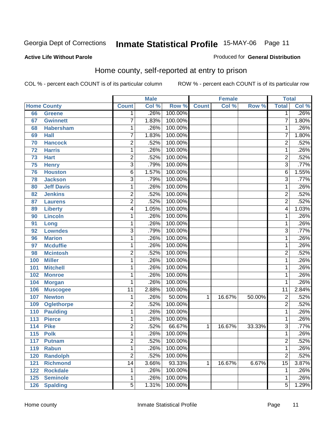#### **Active Life Without Parole**

#### Produced for **General Distribution**

### Home county, self-reported at entry to prison

|     |                    |                 | <b>Male</b> |         |              | <b>Female</b> |        | <b>Total</b>    |       |
|-----|--------------------|-----------------|-------------|---------|--------------|---------------|--------|-----------------|-------|
|     | <b>Home County</b> | <b>Count</b>    | Col %       | Row %   | <b>Count</b> | Col %         | Row %  | <b>Total</b>    | Col % |
| 66  | <b>Greene</b>      | $\mathbf 1$     | .26%        | 100.00% |              |               |        | $\overline{1}$  | .26%  |
| 67  | <b>Gwinnett</b>    | 7               | 1.83%       | 100.00% |              |               |        | 7               | 1.80% |
| 68  | <b>Habersham</b>   | 1               | .26%        | 100.00% |              |               |        | 1               | .26%  |
| 69  | <b>Hall</b>        | 7               | 1.83%       | 100.00% |              |               |        | 7               | 1.80% |
| 70  | <b>Hancock</b>     | $\overline{2}$  | .52%        | 100.00% |              |               |        | $\overline{2}$  | .52%  |
| 72  | <b>Harris</b>      | 1               | .26%        | 100.00% |              |               |        | 1               | .26%  |
| 73  | <b>Hart</b>        | 2               | .52%        | 100.00% |              |               |        | $\overline{2}$  | .52%  |
| 75  | <b>Henry</b>       | $\overline{3}$  | .79%        | 100.00% |              |               |        | $\overline{3}$  | .77%  |
| 76  | <b>Houston</b>     | 6               | 1.57%       | 100.00% |              |               |        | $\overline{6}$  | 1.55% |
| 78  | <b>Jackson</b>     | 3               | .79%        | 100.00% |              |               |        | $\overline{3}$  | .77%  |
| 80  | <b>Jeff Davis</b>  | 1               | .26%        | 100.00% |              |               |        | 1               | .26%  |
| 82  | <b>Jenkins</b>     | 2               | .52%        | 100.00% |              |               |        | $\overline{2}$  | .52%  |
| 87  | <b>Laurens</b>     | $\overline{2}$  | .52%        | 100.00% |              |               |        | $\overline{2}$  | .52%  |
| 89  | <b>Liberty</b>     | 4               | 1.05%       | 100.00% |              |               |        | 4               | 1.03% |
| 90  | <b>Lincoln</b>     | 1               | .26%        | 100.00% |              |               |        | 1               | .26%  |
| 91  | Long               | 1               | .26%        | 100.00% |              |               |        | $\mathbf{1}$    | .26%  |
| 92  | <b>Lowndes</b>     | 3               | .79%        | 100.00% |              |               |        | $\overline{3}$  | .77%  |
| 96  | <b>Marion</b>      | 1               | .26%        | 100.00% |              |               |        | 1               | .26%  |
| 97  | <b>Mcduffie</b>    | 1               | .26%        | 100.00% |              |               |        | 1               | .26%  |
| 98  | <b>Mcintosh</b>    | 2               | .52%        | 100.00% |              |               |        | $\overline{2}$  | .52%  |
| 100 | <b>Miller</b>      | 1               | .26%        | 100.00% |              |               |        | 1               | .26%  |
| 101 | <b>Mitchell</b>    | 1               | .26%        | 100.00% |              |               |        | 1               | .26%  |
| 102 | <b>Monroe</b>      | 1               | .26%        | 100.00% |              |               |        | 1               | .26%  |
| 104 | <b>Morgan</b>      | 1               | .26%        | 100.00% |              |               |        | $\mathbf{1}$    | .26%  |
| 106 | <b>Muscogee</b>    | $\overline{11}$ | 2.88%       | 100.00% |              |               |        | $\overline{11}$ | 2.84% |
| 107 | <b>Newton</b>      | 1               | .26%        | 50.00%  | $\mathbf{1}$ | 16.67%        | 50.00% | $\overline{c}$  | .52%  |
| 109 | <b>Oglethorpe</b>  | 2               | .52%        | 100.00% |              |               |        | $\overline{2}$  | .52%  |
| 110 | <b>Paulding</b>    | 1               | .26%        | 100.00% |              |               |        | $\mathbf{1}$    | .26%  |
| 113 | <b>Pierce</b>      | 1               | .26%        | 100.00% |              |               |        | 1               | .26%  |
| 114 | <b>Pike</b>        | 2               | .52%        | 66.67%  | 1            | 16.67%        | 33.33% | 3               | .77%  |
| 115 | <b>Polk</b>        | 1               | .26%        | 100.00% |              |               |        | 1               | .26%  |
| 117 | <b>Putnam</b>      | $\overline{2}$  | .52%        | 100.00% |              |               |        | $\overline{2}$  | .52%  |
| 119 | <b>Rabun</b>       | 1               | .26%        | 100.00% |              |               |        | 1               | .26%  |
| 120 | <b>Randolph</b>    | $\overline{2}$  | .52%        | 100.00% |              |               |        | $\overline{2}$  | .52%  |
| 121 | <b>Richmond</b>    | 14              | 3.66%       | 93.33%  | 1            | 16.67%        | 6.67%  | 15              | 3.87% |
| 122 | <b>Rockdale</b>    | 1               | .26%        | 100.00% |              |               |        | 1               | .26%  |
| 125 | <b>Seminole</b>    | 1               | .26%        | 100.00% |              |               |        | 1               | .26%  |
| 126 | <b>Spalding</b>    | $\overline{5}$  | 1.31%       | 100.00% |              |               |        | $\overline{5}$  | 1.29% |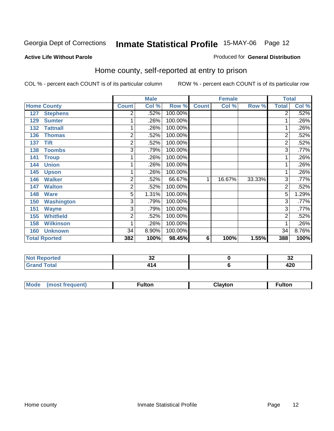#### **Active Life Without Parole**

#### Produced for **General Distribution**

### Home county, self-reported at entry to prison

|     |                      |              | <b>Male</b> |         |              | <b>Female</b> |        | <b>Total</b>   |         |
|-----|----------------------|--------------|-------------|---------|--------------|---------------|--------|----------------|---------|
|     | <b>Home County</b>   | <b>Count</b> | Col %       | Row %   | <b>Count</b> | Col %         | Row %  | <b>Total</b>   | Col %   |
| 127 | <b>Stephens</b>      | 2            | .52%        | 100.00% |              |               |        | $\overline{2}$ | .52%    |
| 129 | <b>Sumter</b>        |              | .26%        | 100.00% |              |               |        | 1              | .26%    |
| 132 | <b>Tattnall</b>      |              | .26%        | 100.00% |              |               |        | $\mathbf 1$    | .26%    |
| 136 | <b>Thomas</b>        | 2            | .52%        | 100.00% |              |               |        | 2              | .52%    |
| 137 | <b>Tift</b>          | 2            | .52%        | 100.00% |              |               |        | 2              | .52%    |
| 138 | <b>Toombs</b>        | 3            | .79%        | 100.00% |              |               |        | 3              | .77%    |
| 141 | <b>Troup</b>         |              | .26%        | 100.00% |              |               |        | 1              | $.26\%$ |
| 144 | <b>Union</b>         |              | .26%        | 100.00% |              |               |        | 1              | .26%    |
| 145 | <b>Upson</b>         |              | .26%        | 100.00% |              |               |        | 1 <sub>1</sub> | .26%    |
| 146 | <b>Walker</b>        | 2            | .52%        | 66.67%  | 1            | 16.67%        | 33.33% | 3              | .77%    |
| 147 | <b>Walton</b>        | 2            | .52%        | 100.00% |              |               |        | $\overline{2}$ | .52%    |
| 148 | <b>Ware</b>          | 5            | 1.31%       | 100.00% |              |               |        | $\overline{5}$ | 1.29%   |
| 150 | <b>Washington</b>    | 3            | .79%        | 100.00% |              |               |        | 3              | .77%    |
| 151 | <b>Wayne</b>         | 3            | .79%        | 100.00% |              |               |        | 3              | .77%    |
| 155 | <b>Whitfield</b>     | 2            | .52%        | 100.00% |              |               |        | $\overline{2}$ | .52%    |
| 158 | <b>Wilkinson</b>     |              | .26%        | 100.00% |              |               |        | 1              | .26%    |
| 160 | <b>Unknown</b>       | 34           | 8.90%       | 100.00% |              |               |        | 34             | 8.76%   |
|     | <b>Total Rported</b> | 382          | 100%        | 98.45%  | 6            | 100%          | 1.55%  | 388            | 100%    |

| Reported    | $\sim$<br>◡ | $\ddot{\phantom{0}}$<br>- 94 |
|-------------|-------------|------------------------------|
| <b>otal</b> |             | חהו<br>44 U                  |

| <b>Mou</b><br>ıltor<br>$-$<br> | $\sim$ $\sim$ | ultor |
|--------------------------------|---------------|-------|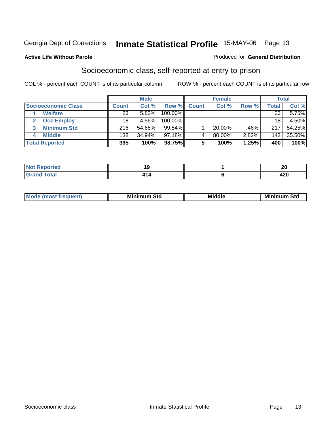#### **Active Life Without Parole**

#### Produced for **General Distribution**

### Socioeconomic class, self-reported at entry to prison

|                            | <b>Male</b>  |        |           |              | <b>Female</b> | <b>Total</b> |                  |        |
|----------------------------|--------------|--------|-----------|--------------|---------------|--------------|------------------|--------|
| <b>Socioeconomic Class</b> | <b>Count</b> | Col %  | Row %     | <b>Count</b> | Col %         | Row %        | Total            | Col %  |
| <b>Welfare</b>             | 23           | 5.82%  | 100.00%   |              |               |              | 23               | 5.75%  |
| <b>Occ Employ</b>          | 18           | 4.56%  | 100.00%   |              |               |              | 18               | 4.50%  |
| <b>Minimum Std</b>         | 216          | 54.68% | 99.54%    |              | $20.00\%$     | .46%         | 217              | 54.25% |
| <b>Middle</b>              | 138          | 34.94% | $97.18\%$ |              | 80.00%        | 2.82%        | 142 <sub>1</sub> | 35.50% |
| <b>Total Reported</b>      | 395          | 100%   | 98.75%    |              | 100%          | 1.25%        | 400              | 100%   |

| rted                                                               | - - | - -        |
|--------------------------------------------------------------------|-----|------------|
|                                                                    |     | Zu         |
| $T \cap f \cap T$<br>$\sim$ udi $\sim$<br>$\sim$ . $\sim$ . $\sim$ |     | 100<br>42U |

| <b>Minin</b><br>Std<br>3td<br>aic<br>.<br>____ |
|------------------------------------------------|
|------------------------------------------------|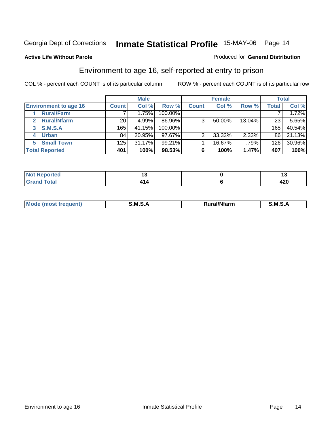#### **Active Life Without Parole**

#### Produced for **General Distribution**

### Environment to age 16, self-reported at entry to prison

|                              | <b>Male</b>  |        |            |              | <b>Female</b> |        | <b>Total</b> |        |
|------------------------------|--------------|--------|------------|--------------|---------------|--------|--------------|--------|
| <b>Environment to age 16</b> | <b>Count</b> | Col %  | Row %      | <b>Count</b> | Col %         | Row %  | Total        | Col %  |
| <b>Rural/Farm</b>            |              | 1.75%  | 100.00%    |              |               |        |              | 1.72%  |
| <b>Rural/Nfarm</b>           | 20           | 4.99%  | 86.96%     | 3            | 50.00%        | 13.04% | 23           | 5.65%  |
| <b>S.M.S.A</b><br>3          | 165          | 41.15% | $100.00\%$ |              |               |        | 165          | 40.54% |
| <b>Urban</b>                 | 84           | 20.95% | $97.67\%$  | ⌒            | 33.33%        | 2.33%  | 86           | 21.13% |
| <b>Small Town</b><br>5.      | 125          | 31.17% | $99.21\%$  |              | 16.67%        | .79%   | 126          | 30.96% |
| <b>Total Reported</b>        | 401          | 100%   | 98.53%     |              | 100%          | 1.47%  | 407          | 100%   |

| <b>orted</b><br>Not<br>Redo |      |            |
|-----------------------------|------|------------|
| <b>Total</b><br>Grand       | 714. | חהו<br>44V |

| M<br>.<br>---<br>s an A<br>.<br>M<br>M<br>-- |  |  |
|----------------------------------------------|--|--|
|                                              |  |  |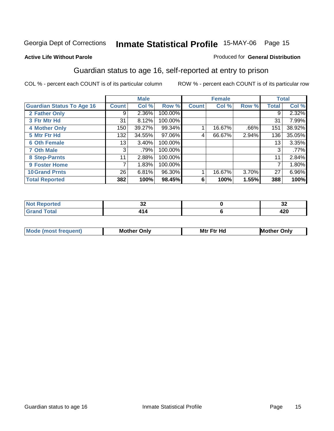#### **Active Life Without Parole**

#### Produced for **General Distribution**

### Guardian status to age 16, self-reported at entry to prison

|                                  |              | <b>Male</b> |         |              | <b>Female</b> |       |              | <b>Total</b> |
|----------------------------------|--------------|-------------|---------|--------------|---------------|-------|--------------|--------------|
| <b>Guardian Status To Age 16</b> | <b>Count</b> | Col %       | Row %   | <b>Count</b> | Col %         | Row % | <b>Total</b> | Col %        |
| 2 Father Only                    | 9            | 2.36%       | 100.00% |              |               |       | 9            | 2.32%        |
| 3 Ftr Mtr Hd                     | 31           | 8.12%       | 100.00% |              |               |       | 31           | 7.99%        |
| <b>4 Mother Only</b>             | 150          | 39.27%      | 99.34%  |              | 16.67%        | .66%  | 151          | 38.92%       |
| 5 Mtr Ftr Hd                     | 132          | 34.55%      | 97.06%  | 4            | 66.67%        | 2.94% | 136          | 35.05%       |
| <b>6 Oth Female</b>              | 13           | 3.40%       | 100.00% |              |               |       | 13           | 3.35%        |
| <b>7 Oth Male</b>                | 3            | .79%        | 100.00% |              |               |       | 3            | .77%         |
| 8 Step-Parnts                    | 11           | 2.88%       | 100.00% |              |               |       | 11           | 2.84%        |
| 9 Foster Home                    | 7            | 1.83%       | 100.00% |              |               |       | 7            | 1.80%        |
| <b>10 Grand Prnts</b>            | 26           | 6.81%       | 96.30%  |              | 16.67%        | 3.70% | 27           | 6.96%        |
| <b>Total Reported</b>            | 382          | 100%        | 98.45%  | 6            | 100%          | 1.55% | 388          | 100%         |

| vΔ | υŁ                       |
|----|--------------------------|
|    | $\overline{100}$<br>44 U |

| <b>Mod</b> | <b>Mother</b><br>Onlv | Hc<br>. <u>.</u><br>Mtr | Only |
|------------|-----------------------|-------------------------|------|
|            |                       |                         |      |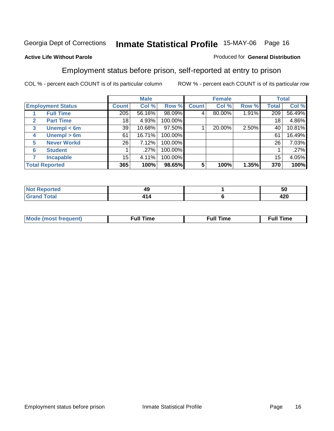### **Active Life Without Parole**

#### Produced for **General Distribution**

### Employment status before prison, self-reported at entry to prison

|              |                          |                  | <b>Male</b> |         |              | <b>Female</b> |          |       | <b>Total</b> |
|--------------|--------------------------|------------------|-------------|---------|--------------|---------------|----------|-------|--------------|
|              | <b>Employment Status</b> | <b>Count</b>     | Col %       | Row %   | <b>Count</b> | Col %         | Row %    | Total | Col %        |
|              | <b>Full Time</b>         | $\overline{205}$ | 56.16%      | 98.09%  |              | 80.00%        | $1.91\%$ | 209   | 56.49%       |
| $\mathbf{2}$ | <b>Part Time</b>         | 18               | 4.93%       | 100.00% |              |               |          | 18    | 4.86%        |
| 3            | Unempl $<$ 6m            | 39               | 10.68%      | 97.50%  |              | 20.00%        | 2.50%    | 40    | 10.81%       |
| 4            | Unempl $> 6m$            | 61               | 16.71%      | 100.00% |              |               |          | 61    | 16.49%       |
| 5            | <b>Never Workd</b>       | 26               | 7.12%       | 100.00% |              |               |          | 26    | 7.03%        |
| 6            | <b>Student</b>           |                  | .27%        | 100.00% |              |               |          |       | $.27\%$      |
|              | <b>Incapable</b>         | 15               | 4.11%       | 100.00% |              |               |          | 15    | 4.05%        |
|              | <b>Total Reported</b>    | 365              | 100%        | 98.65%  | 5            | 100%          | 1.35%    | 370   | 100%         |

|                 | . .<br>49 | - -<br>vv.  |
|-----------------|-----------|-------------|
| $- - - - - - -$ |           | חרו<br>44 U |

| Mo | - - | ne | .<br><b>Full Time</b> |
|----|-----|----|-----------------------|
|    |     |    |                       |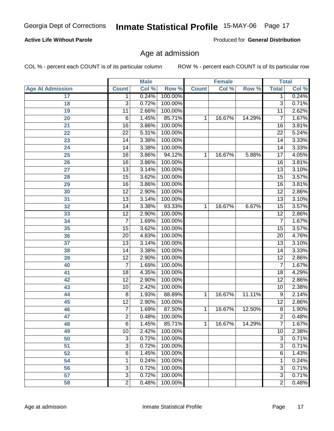#### **Active Life Without Parole**

Produced for **General Distribution**

### Age at admission

|                         |                  | <b>Male</b> |         |              | <b>Female</b> |        |                 | <b>Total</b> |
|-------------------------|------------------|-------------|---------|--------------|---------------|--------|-----------------|--------------|
| <b>Age At Admission</b> | <b>Count</b>     | Col %       | Row %   | <b>Count</b> | Col %         | Row %  | <b>Total</b>    | Col %        |
| 17                      | 1                | 0.24%       | 100.00% |              |               |        | 1               | 0.24%        |
| 18                      | 3                | 0.72%       | 100.00% |              |               |        | $\overline{3}$  | 0.71%        |
| 19                      | 11               | 2.66%       | 100.00% |              |               |        | $\overline{11}$ | 2.62%        |
| 20                      | 6                | 1.45%       | 85.71%  | 1            | 16.67%        | 14.29% | 7               | 1.67%        |
| 21                      | 16               | 3.86%       | 100.00% |              |               |        | 16              | 3.81%        |
| 22                      | $\overline{22}$  | 5.31%       | 100.00% |              |               |        | $\overline{22}$ | 5.24%        |
| 23                      | 14               | 3.38%       | 100.00% |              |               |        | $\overline{14}$ | 3.33%        |
| 24                      | 14               | 3.38%       | 100.00% |              |               |        | 14              | 3.33%        |
| $\overline{25}$         | 16               | 3.86%       | 94.12%  | 1            | 16.67%        | 5.88%  | 17              | 4.05%        |
| 26                      | 16               | 3.86%       | 100.00% |              |               |        | 16              | 3.81%        |
| 27                      | $\overline{13}$  | 3.14%       | 100.00% |              |               |        | $\overline{13}$ | 3.10%        |
| 28                      | 15               | 3.62%       | 100.00% |              |               |        | 15              | 3.57%        |
| 29                      | $\overline{16}$  | 3.86%       | 100.00% |              |               |        | $\overline{16}$ | 3.81%        |
| 30                      | $\overline{12}$  | 2.90%       | 100.00% |              |               |        | $\overline{12}$ | 2.86%        |
| 31                      | $\overline{13}$  | 3.14%       | 100.00% |              |               |        | $\overline{13}$ | 3.10%        |
| 32                      | 14               | 3.38%       | 93.33%  | 1            | 16.67%        | 6.67%  | 15              | 3.57%        |
| 33                      | $\overline{12}$  | 2.90%       | 100.00% |              |               |        | $\overline{12}$ | 2.86%        |
| 34                      | $\overline{7}$   | 1.69%       | 100.00% |              |               |        | 7               | 1.67%        |
| 35                      | 15               | 3.62%       | 100.00% |              |               |        | $\overline{15}$ | 3.57%        |
| 36                      | 20               | 4.83%       | 100.00% |              |               |        | $\overline{20}$ | 4.76%        |
| $\overline{37}$         | $\overline{13}$  | 3.14%       | 100.00% |              |               |        | $\overline{13}$ | 3.10%        |
| 38                      | 14               | 3.38%       | 100.00% |              |               |        | 14              | 3.33%        |
| 39                      | $\overline{12}$  | 2.90%       | 100.00% |              |               |        | $\overline{12}$ | 2.86%        |
| 40                      | 7                | 1.69%       | 100.00% |              |               |        | 7               | 1.67%        |
| 41                      | 18               | 4.35%       | 100.00% |              |               |        | 18              | 4.29%        |
| 42                      | 12               | 2.90%       | 100.00% |              |               |        | $\overline{12}$ | 2.86%        |
| 43                      | 10               | 2.42%       | 100.00% |              |               |        | 10              | 2.38%        |
| 44                      | 8                | 1.93%       | 88.89%  | 1            | 16.67%        | 11.11% | 9               | 2.14%        |
| 45                      | $\overline{12}$  | 2.90%       | 100.00% |              |               |        | $\overline{12}$ | 2.86%        |
| 46                      | $\boldsymbol{7}$ | 1.69%       | 87.50%  | 1            | 16.67%        | 12.50% | 8               | 1.90%        |
| 47                      | $\overline{2}$   | 0.48%       | 100.00% |              |               |        | $\overline{2}$  | 0.48%        |
| 48                      | 6                | 1.45%       | 85.71%  | 1            | 16.67%        | 14.29% | 7               | 1.67%        |
| 49                      | 10               | 2.42%       | 100.00% |              |               |        | 10              | 2.38%        |
| 50                      | 3                | 0.72%       | 100.00% |              |               |        | $\overline{3}$  | 0.71%        |
| 51                      | 3                | 0.72%       | 100.00% |              |               |        | $\overline{3}$  | 0.71%        |
| 52                      | 6                | 1.45%       | 100.00% |              |               |        | 6               | 1.43%        |
| 54                      | 1                | 0.24%       | 100.00% |              |               |        | 1               | 0.24%        |
| 56                      | 3                | 0.72%       | 100.00% |              |               |        | 3               | 0.71%        |
| 57                      | $\overline{3}$   | 0.72%       | 100.00% |              |               |        | $\overline{3}$  | 0.71%        |
| 58                      | $\overline{2}$   | 0.48%       | 100.00% |              |               |        | $\overline{2}$  | 0.48%        |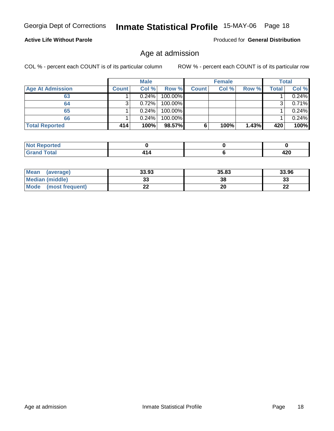#### **Active Life Without Parole**

Produced for **General Distribution**

### Age at admission

|                         |              | <b>Male</b> |         |              | <b>Female</b> |       |       | <b>Total</b> |
|-------------------------|--------------|-------------|---------|--------------|---------------|-------|-------|--------------|
| <b>Age At Admission</b> | <b>Count</b> | Col %       | Row %   | <b>Count</b> | Col %         | Row % | Total | Col %        |
| 63                      |              | 0.24%       | 100.00% |              |               |       |       | 0.24%        |
| 64                      | 3            | 0.72%       | 100.00% |              |               |       | 3     | 0.71%        |
| 65                      |              | 0.24%       | 100.00% |              |               |       |       | 0.24%        |
| 66                      |              | 0.24%       | 100.00% |              |               |       |       | 0.24%        |
| <b>Total Reported</b>   | 414          | 100%        | 98.57%  | 6            | 100%          | 1.43% | 420   | 100%         |

| <b>NO</b><br>тео                                   |  |            |
|----------------------------------------------------|--|------------|
| A <sup>t</sup><br>$\sim$ $\sim$ $\sim$ $\sim$<br>_ |  | . מ<br>−∠∪ |

| Mean<br>(average)       | 33.93 | 35.83 | 33.96        |
|-------------------------|-------|-------|--------------|
| Median (middle)         | JJ    | 38    | n n<br>აა    |
| Mode<br>(most frequent) |       | 20    | $\sim$<br>LL |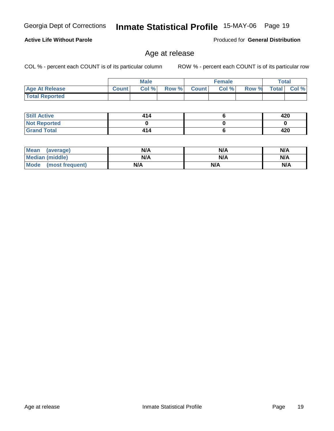**Still Active Not Reported**

 **Grand Total**

 **Total Reported**

**Active Life Without Parole** 

| Mean<br>(average)    | N/A | N/A | N/A |
|----------------------|-----|-----|-----|
| Median (middle)      | N/A | N/A | N/A |
| Mode (most frequent) | N/A | N/A | N/A |

Age at release

 **Age At Release Count Col % Row % Count Col % Row % Total Col %** 

**Male**

 **414 0 414**

COL % - percent each COUNT is of its particular column ROW % - percent each COUNT is of its particular row

**Female Total**

Produced for **General Distribution**

 **420 0 420**

 **6 0 6**

## Georgia Dept of Corrections **Inmate Statistical Profile** 15-MAY-06 Page 19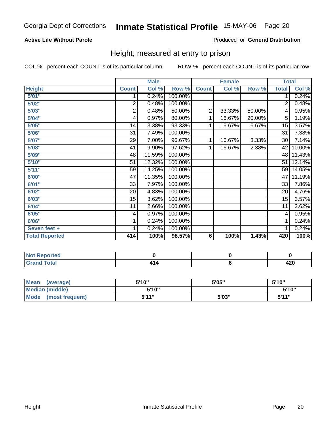### **Active Life Without Parole**

#### Produced for **General Distribution**

### Height, measured at entry to prison

|                       |                | <b>Male</b> |         |                | <b>Female</b> |        | <b>Total</b>    |        |
|-----------------------|----------------|-------------|---------|----------------|---------------|--------|-----------------|--------|
| <b>Height</b>         | <b>Count</b>   | Col %       | Row %   | <b>Count</b>   | Col %         | Row %  | <b>Total</b>    | Col %  |
| 5'01''                | 1              | 0.24%       | 100.00% |                |               |        | 1               | 0.24%  |
| 5'02"                 | $\overline{2}$ | 0.48%       | 100.00% |                |               |        | $\overline{2}$  | 0.48%  |
| 5'03"                 | $\overline{c}$ | 0.48%       | 50.00%  | $\overline{2}$ | 33.33%        | 50.00% | 4               | 0.95%  |
| 5'04"                 | 4              | 0.97%       | 80.00%  | 1              | 16.67%        | 20.00% | 5               | 1.19%  |
| 5'05"                 | 14             | 3.38%       | 93.33%  | 1              | 16.67%        | 6.67%  | 15              | 3.57%  |
| 5'06"                 | 31             | 7.49%       | 100.00% |                |               |        | $\overline{31}$ | 7.38%  |
| 5'07''                | 29             | 7.00%       | 96.67%  | 1              | 16.67%        | 3.33%  | 30              | 7.14%  |
| 5'08"                 | 41             | 9.90%       | 97.62%  | 1              | 16.67%        | 2.38%  | 42              | 10.00% |
| 5'09''                | 48             | 11.59%      | 100.00% |                |               |        | 48              | 11.43% |
| 5'10''                | 51             | 12.32%      | 100.00% |                |               |        | 51              | 12.14% |
| 5'11''                | 59             | 14.25%      | 100.00% |                |               |        | 59              | 14.05% |
| 6'00"                 | 47             | 11.35%      | 100.00% |                |               |        | 47              | 11.19% |
| 6'01"                 | 33             | 7.97%       | 100.00% |                |               |        | 33              | 7.86%  |
| 6'02"                 | 20             | 4.83%       | 100.00% |                |               |        | 20              | 4.76%  |
| 6'03"                 | 15             | 3.62%       | 100.00% |                |               |        | 15              | 3.57%  |
| 6'04"                 | 11             | 2.66%       | 100.00% |                |               |        | 11              | 2.62%  |
| 6'05"                 | 4              | 0.97%       | 100.00% |                |               |        | 4               | 0.95%  |
| 6'06"                 | 1              | 0.24%       | 100.00% |                |               |        | 1               | 0.24%  |
| Seven feet +          | 1              | 0.24%       | 100.00% |                |               |        | 1               | 0.24%  |
| <b>Total Reported</b> | 414            | 100%        | 98.57%  | 6              | 100%          | 1.43%  | 420             | 100%   |

| rtea<br>. |   |            |
|-----------|---|------------|
| $\sim$    | . | 100<br>−∠∪ |

| Mean<br>(average)       | 5'10" | 5'05" | 5'10"        |
|-------------------------|-------|-------|--------------|
| <b>Median (middle)</b>  | 5'10" |       | 5'10"        |
| Mode<br>(most frequent) | 544"  | 5'03" | <b>K'11"</b> |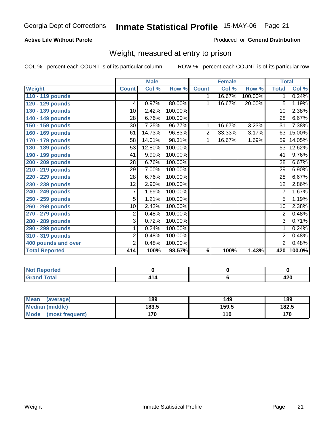### **Active Life Without Parole**

#### Produced for **General Distribution**

### Weight, measured at entry to prison

|                       |                | <b>Male</b> |         |                | <b>Female</b> |         | <b>Total</b>    |        |
|-----------------------|----------------|-------------|---------|----------------|---------------|---------|-----------------|--------|
| <b>Weight</b>         | <b>Count</b>   | Col %       | Row %   | <b>Count</b>   | Col %         | Row %   | <b>Total</b>    | Col %  |
| 110 - 119 pounds      |                |             |         | 1              | 16.67%        | 100.00% | 1               | 0.24%  |
| 120 - 129 pounds      | $\overline{4}$ | 0.97%       | 80.00%  | 1              | 16.67%        | 20.00%  | 5               | 1.19%  |
| 130 - 139 pounds      | 10             | 2.42%       | 100.00% |                |               |         | 10              | 2.38%  |
| 140 - 149 pounds      | 28             | 6.76%       | 100.00% |                |               |         | 28              | 6.67%  |
| 150 - 159 pounds      | 30             | 7.25%       | 96.77%  | 1              | 16.67%        | 3.23%   | 31              | 7.38%  |
| 160 - 169 pounds      | 61             | 14.73%      | 96.83%  | $\overline{2}$ | 33.33%        | 3.17%   | 63              | 15.00% |
| 170 - 179 pounds      | 58             | 14.01%      | 98.31%  | 1              | 16.67%        | 1.69%   | 59              | 14.05% |
| 180 - 189 pounds      | 53             | 12.80%      | 100.00% |                |               |         | 53              | 12.62% |
| 190 - 199 pounds      | 41             | 9.90%       | 100.00% |                |               |         | 41              | 9.76%  |
| 200 - 209 pounds      | 28             | 6.76%       | 100.00% |                |               |         | 28              | 6.67%  |
| 210 - 219 pounds      | 29             | 7.00%       | 100.00% |                |               |         | 29              | 6.90%  |
| 220 - 229 pounds      | 28             | 6.76%       | 100.00% |                |               |         | 28              | 6.67%  |
| 230 - 239 pounds      | 12             | 2.90%       | 100.00% |                |               |         | 12              | 2.86%  |
| 240 - 249 pounds      | 7              | 1.69%       | 100.00% |                |               |         | 7               | 1.67%  |
| 250 - 259 pounds      | 5              | 1.21%       | 100.00% |                |               |         | $\overline{5}$  | 1.19%  |
| 260 - 269 pounds      | 10             | 2.42%       | 100.00% |                |               |         | $\overline{10}$ | 2.38%  |
| 270 - 279 pounds      | $\overline{2}$ | 0.48%       | 100.00% |                |               |         | 2               | 0.48%  |
| 280 - 289 pounds      | $\overline{3}$ | 0.72%       | 100.00% |                |               |         | $\overline{3}$  | 0.71%  |
| 290 - 299 pounds      | 1              | 0.24%       | 100.00% |                |               |         |                 | 0.24%  |
| 310 - 319 pounds      | $\overline{c}$ | 0.48%       | 100.00% |                |               |         | $\overline{2}$  | 0.48%  |
| 400 pounds and over   | $\overline{2}$ | 0.48%       | 100.00% |                |               |         | $\overline{2}$  | 0.48%  |
| <b>Total Reported</b> | 414            | 100%        | 98.57%  | 6              | 100%          | 1.43%   | 420             | 100.0% |

| <b>A 10</b><br>N0<br>него.<br>. |  |   |
|---------------------------------|--|---|
| inta'<br>$\cdots$<br>_          |  | ™ |

| Mean<br>(average)    | 189   | 149   | 189   |
|----------------------|-------|-------|-------|
| Median (middle)      | 183.5 | 159.5 | 182.5 |
| Mode (most frequent) | 170   | 110   | 170   |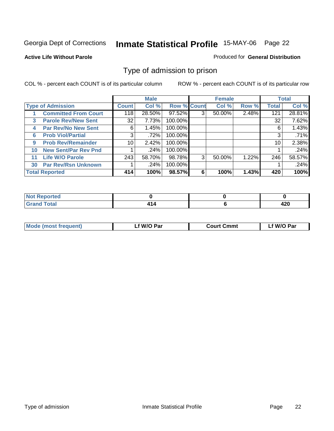#### **Active Life Without Parole**

#### Produced for **General Distribution**

### Type of admission to prison

|    |                             |                 | <b>Male</b> |                    |   | <b>Female</b> |       |              | <b>Total</b> |
|----|-----------------------------|-----------------|-------------|--------------------|---|---------------|-------|--------------|--------------|
|    | <b>Type of Admission</b>    | Count           | Col %       | <b>Row % Count</b> |   | Col %         | Row % | <b>Total</b> | Col %        |
|    | <b>Committed From Court</b> | 118             | 28.50%      | 97.52%             | 3 | 50.00%        | 2.48% | 121          | 28.81%       |
| 3  | <b>Parole Rev/New Sent</b>  | 32              | 7.73%       | 100.00%            |   |               |       | 32           | 7.62%        |
| 4  | <b>Par Rev/No New Sent</b>  | 6               | 1.45%       | 100.00%            |   |               |       | 6            | 1.43%        |
| 6  | <b>Prob Viol/Partial</b>    | 3               | .72%        | 100.00%            |   |               |       | 3            | .71%         |
| 9  | <b>Prob Rev/Remainder</b>   | 10 <sup>1</sup> | 2.42%       | 100.00%            |   |               |       | 10           | 2.38%        |
| 10 | <b>New Sent/Par Rev Pnd</b> |                 | .24%        | 100.00%            |   |               |       |              | .24%         |
| 11 | <b>Life W/O Parole</b>      | 243             | 58.70%      | 98.78%             | 3 | 50.00%        | 1.22% | 246          | 58.57%       |
| 30 | <b>Par Rev/Rsn Unknown</b>  |                 | .24%        | 100.00%            |   |               |       |              | .24%         |
|    | <b>Total Reported</b>       | 414             | 100%        | 98.57%             | 6 | 100%          | 1.43% | 420          | 100%         |

| eported<br><b>NOT</b>             |  |            |
|-----------------------------------|--|------------|
| <b>Total</b><br>$C$ ron<br>$\sim$ |  | ,,,<br>TŁU |

| <b>Mode (most frequent)</b> | f W/O Par | <b>Court Cmmt</b> | `W/O Par |
|-----------------------------|-----------|-------------------|----------|
|                             |           |                   |          |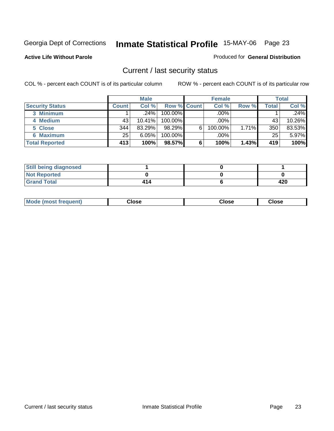#### **Active Life Without Parole**

#### Produced for **General Distribution**

### Current / last security status

|                        |              | <b>Male</b> |                    |   | <b>Female</b> |       |       | <b>Total</b> |
|------------------------|--------------|-------------|--------------------|---|---------------|-------|-------|--------------|
| <b>Security Status</b> | <b>Count</b> | Col %       | <b>Row % Count</b> |   | Col %         | Row % | Total | Col %        |
| 3 Minimum              |              | ا 24%.      | $100.00\%$         |   | .00%          |       |       | .24%         |
| 4 Medium               | 43           | 10.41%      | $100.00\%$         |   | $.00\%$       |       | 43    | 10.26%       |
| 5 Close                | 344          | 83.29%      | 98.29%             | 6 | 100.00%       | 1.71% | 350   | 83.53%       |
| <b>6 Maximum</b>       | 25           | 6.05%       | 100.00%            |   | $.00\%$       |       | 25    | 5.97%        |
| <b>Total Reported</b>  | 413          | 100%        | 98.57%             | 6 | 100%          | 1.43% | 419   | 100%         |

| <b>Still being diagnosed</b> |     |     |
|------------------------------|-----|-----|
| <b>Not Reported</b>          |     |     |
| <b>Grand Total</b>           | 414 | 420 |

| Mode (most frequent)<br>Close<br>oseت<br>Close |
|------------------------------------------------|
|------------------------------------------------|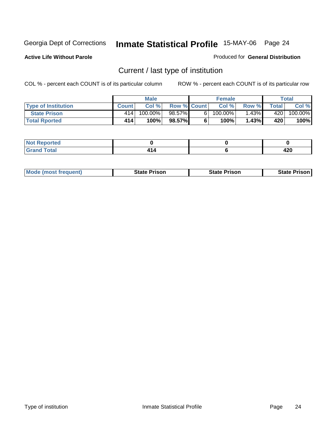**Active Life Without Parole** 

Produced for **General Distribution**

### Current / last type of institution

|                            |              | <b>Male</b> |                    |    | <b>Female</b> |         |       | Total                 |
|----------------------------|--------------|-------------|--------------------|----|---------------|---------|-------|-----------------------|
| <b>Type of Institution</b> | <b>Count</b> | Col %       | <b>Row % Count</b> |    | Col %         | Row %   | Total | Col %                 |
| <b>State Prison</b>        | 414          | $100.00\%$  | 98.57%             | 61 | 100.00%」      | $.43\%$ | 420   | $100.\overline{00\%}$ |
| <b>Total Rported</b>       | 414          | 100%        | 98.57%             |    | 100%          | 1.43%   | 420   | 100%                  |

| ≺eportea<br>w<br>$\cdots$ |  |             |
|---------------------------|--|-------------|
| $\sim$<br>i vtal<br>$-1$  |  | חרי<br>44 U |

|  | <b>Mode (most frequent)</b> | <b>State Prison</b> | <b>State Prison</b> | <b>State Prison</b> |
|--|-----------------------------|---------------------|---------------------|---------------------|
|--|-----------------------------|---------------------|---------------------|---------------------|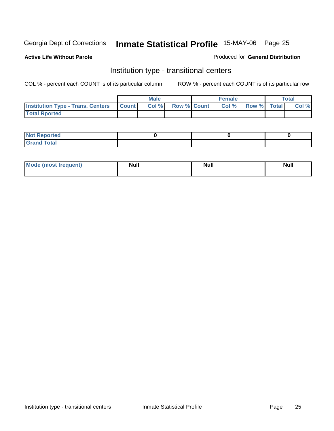**Active Life Without Parole** 

#### Produced for **General Distribution**

### Institution type - transitional centers

|                                                | <b>Male</b> |                          | <b>Female</b> |                   | <b>Total</b> |
|------------------------------------------------|-------------|--------------------------|---------------|-------------------|--------------|
| <b>Institution Type - Trans. Centers Count</b> |             | <b>Col %</b> Row % Count |               | Col % Row % Total | Col %        |
| <b>Total Rported</b>                           |             |                          |               |                   |              |

| <b>Not Reported</b>               |  |  |
|-----------------------------------|--|--|
| <b>Total</b><br>$C$ rar<br>$\sim$ |  |  |

| Mode (most frequent) | <b>Null</b> | <b>Null</b> | <b>Null</b> |
|----------------------|-------------|-------------|-------------|
|                      |             |             |             |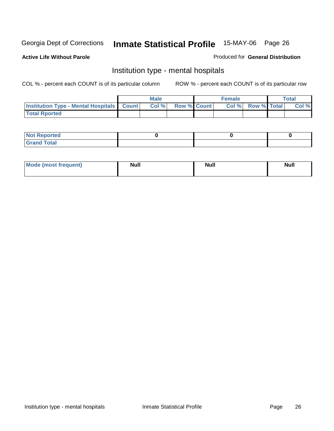### **Active Life Without Parole**

#### Produced for **General Distribution**

### Institution type - mental hospitals

|                                                      | <b>Male</b> |                    | <b>Female</b> |                    | Total |
|------------------------------------------------------|-------------|--------------------|---------------|--------------------|-------|
| <b>Institution Type - Mental Hospitals   Count  </b> | Col%        | <b>Row % Count</b> | Col%          | <b>Row % Total</b> | Col % |
| <b>Total Rported</b>                                 |             |                    |               |                    |       |

| <b>Not Reported</b> |  |  |
|---------------------|--|--|
| <b>Total</b><br>r.  |  |  |

| Mode (most frequent) | <b>Null</b> | <b>Null</b> | <b>Null</b> |
|----------------------|-------------|-------------|-------------|
|                      |             |             |             |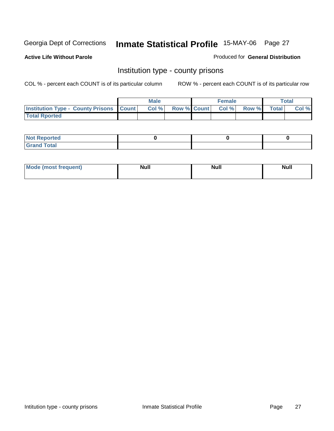**Active Life Without Parole** 

Produced for **General Distribution**

### Institution type - county prisons

|                                                    | <b>Male</b> |                    | <b>Female</b> |       |              | <b>Total</b> |
|----------------------------------------------------|-------------|--------------------|---------------|-------|--------------|--------------|
| <b>Institution Type - County Prisons   Count  </b> | Col%        | <b>Row % Count</b> | Col %         | Row % | <b>Total</b> | Col %        |
| <b>Total Rported</b>                               |             |                    |               |       |              |              |

| <b>Not Reported</b> |  |  |
|---------------------|--|--|
| <b>Grand Total</b>  |  |  |

| Mode<br><b>ost frequent)</b> | <b>Null</b> | <b>Modl</b><br>'YUI. | <b>Null</b> |
|------------------------------|-------------|----------------------|-------------|
|                              |             |                      |             |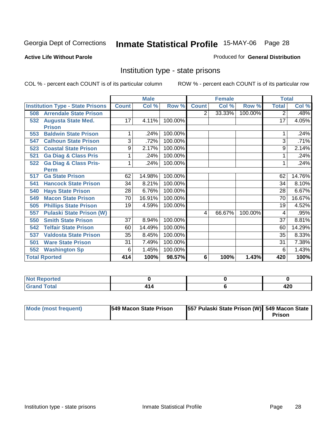#### **Active Life Without Parole**

#### Produced for **General Distribution**

### Institution type - state prisons

|     |                                         |              | <b>Male</b> |         |              | <b>Female</b> |         | <b>Total</b> |        |
|-----|-----------------------------------------|--------------|-------------|---------|--------------|---------------|---------|--------------|--------|
|     | <b>Institution Type - State Prisons</b> | <b>Count</b> | Col %       | Row %   | <b>Count</b> | Col %         | Row %   | <b>Total</b> | Col %  |
| 508 | <b>Arrendale State Prison</b>           |              |             |         | 2            | 33.33%        | 100.00% | 2            | .48%   |
| 532 | <b>Augusta State Med.</b>               | 17           | 4.11%       | 100.00% |              |               |         | 17           | 4.05%  |
|     | <b>Prison</b>                           |              |             |         |              |               |         |              |        |
| 553 | <b>Baldwin State Prison</b>             |              | .24%        | 100.00% |              |               |         |              | .24%   |
| 547 | <b>Calhoun State Prison</b>             | 3            | .72%        | 100.00% |              |               |         | 3            | .71%   |
| 523 | <b>Coastal State Prison</b>             | 9            | 2.17%       | 100.00% |              |               |         | 9            | 2.14%  |
| 521 | <b>Ga Diag &amp; Class Pris</b>         | 1            | .24%        | 100.00% |              |               |         |              | .24%   |
| 522 | <b>Ga Diag &amp; Class Pris-</b>        |              | .24%        | 100.00% |              |               |         |              | .24%   |
|     | <b>Perm</b>                             |              |             |         |              |               |         |              |        |
| 517 | <b>Ga State Prison</b>                  | 62           | 14.98%      | 100.00% |              |               |         | 62           | 14.76% |
| 541 | <b>Hancock State Prison</b>             | 34           | 8.21%       | 100.00% |              |               |         | 34           | 8.10%  |
| 540 | <b>Hays State Prison</b>                | 28           | 6.76%       | 100.00% |              |               |         | 28           | 6.67%  |
| 549 | <b>Macon State Prison</b>               | 70           | 16.91%      | 100.00% |              |               |         | 70           | 16.67% |
| 505 | <b>Phillips State Prison</b>            | 19           | 4.59%       | 100.00% |              |               |         | 19           | 4.52%  |
| 557 | <b>Pulaski State Prison (W)</b>         |              |             |         | 4            | 66.67%        | 100.00% | 4            | .95%   |
| 550 | <b>Smith State Prison</b>               | 37           | 8.94%       | 100.00% |              |               |         | 37           | 8.81%  |
| 542 | <b>Telfair State Prison</b>             | 60           | 14.49%      | 100.00% |              |               |         | 60           | 14.29% |
| 537 | <b>Valdosta State Prison</b>            | 35           | 8.45%       | 100.00% |              |               |         | 35           | 8.33%  |
| 501 | <b>Ware State Prison</b>                | 31           | 7.49%       | 100.00% |              |               |         | 31           | 7.38%  |
| 552 | <b>Washington Sp</b>                    | 6            | 1.45%       | 100.00% |              |               |         | 6            | 1.43%  |
|     | <b>Total Rported</b>                    | 414          | 100%        | 98.57%  | 6            | 100%          | 1.43%   | 420          | 100%   |

| <b>Not Reported</b>                |  |      |
|------------------------------------|--|------|
| $\sim$ $\sim$ $\sim$ $\sim$ $\sim$ |  | 44 U |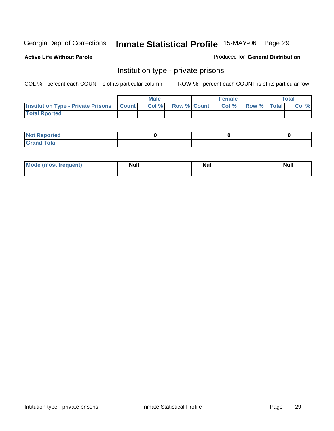#### **Active Life Without Parole**

#### Produced for **General Distribution**

### Institution type - private prisons

|                                                     | <b>Male</b> |                    | <b>Female</b> |                    | <b>Total</b> |
|-----------------------------------------------------|-------------|--------------------|---------------|--------------------|--------------|
| <b>Institution Type - Private Prisons   Count  </b> | Col%        | <b>Row % Count</b> | Col %         | <b>Row %</b> Total | Col %        |
| <b>Total Rported</b>                                |             |                    |               |                    |              |

| <b>Not Reported</b>                       |  |  |
|-------------------------------------------|--|--|
| <b>Total</b><br>Gr <sub>2</sub><br>$\sim$ |  |  |

| Mode (most frequent) | Null | <b>Null</b> | <b>Null</b> |
|----------------------|------|-------------|-------------|
|                      |      |             |             |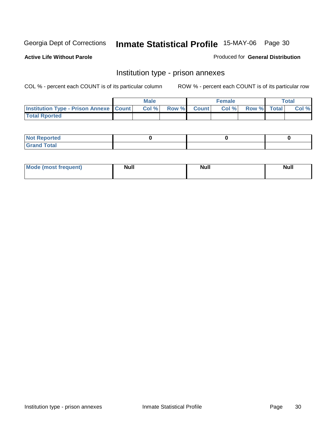**Active Life Without Parole** 

Produced for **General Distribution**

### Institution type - prison annexes

|                                                   | <b>Male</b> |             | <b>Female</b> |             | <b>Total</b> |
|---------------------------------------------------|-------------|-------------|---------------|-------------|--------------|
| <b>Institution Type - Prison Annexe   Count  </b> | Col %       | Row % Count | Col %         | Row % Total | Col %        |
| <b>Total Rported</b>                              |             |             |               |             |              |

| $N$ nt R<br>Reported         |  |  |
|------------------------------|--|--|
| <b>Total</b><br><b>Grano</b> |  |  |

| Mode (most frequent) | <b>Null</b> | <b>Null</b> | <b>Null</b> |
|----------------------|-------------|-------------|-------------|
|                      |             |             |             |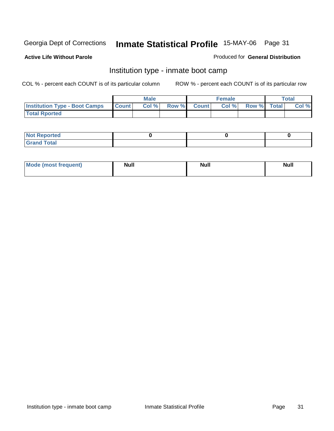**Active Life Without Parole** 

#### Produced for **General Distribution**

### Institution type - inmate boot camp

|                                      |              | <b>Male</b> |                    | Female |             | Total |
|--------------------------------------|--------------|-------------|--------------------|--------|-------------|-------|
| <b>Institution Type - Boot Camps</b> | <b>Count</b> | Col%        | <b>Row % Count</b> | Col %  | Row % Total | Col % |
| <b>Total Rported</b>                 |              |             |                    |        |             |       |

| <b>Not Reported</b> |  |  |
|---------------------|--|--|
| $f$ ota'<br>C<br>.  |  |  |

| Mode (most frequent) | <b>Null</b> | <b>Null</b> | <b>Null</b> |
|----------------------|-------------|-------------|-------------|
|                      |             |             |             |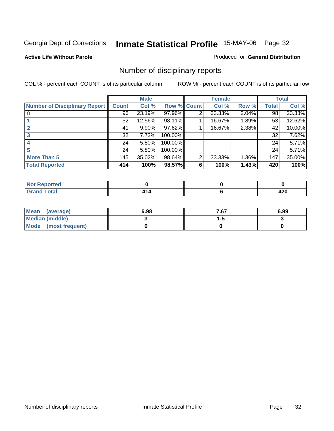#### **Active Life Without Parole**

#### Produced for **General Distribution**

### Number of disciplinary reports

|                                      |              | <b>Male</b> |             |   | <b>Female</b> |       |       | <b>Total</b> |
|--------------------------------------|--------------|-------------|-------------|---|---------------|-------|-------|--------------|
| <b>Number of Disciplinary Report</b> | <b>Count</b> | Col %       | Row % Count |   | Col %         | Row % | Total | Col %        |
|                                      | 96           | 23.19%      | 97.96%      | 2 | 33.33%        | 2.04% | 98    | 23.33%       |
|                                      | 52           | 12.56%      | 98.11%      |   | 16.67%        | 1.89% | 53    | 12.62%       |
|                                      | 41           | $9.90\%$    | $97.62\%$   |   | 16.67%        | 2.38% | 42    | 10.00%       |
| 3                                    | 32           | 7.73%       | 100.00%     |   |               |       | 32    | 7.62%        |
| 4                                    | 24           | 5.80%       | 100.00%     |   |               |       | 24    | 5.71%        |
| 5                                    | 24           | 5.80%       | 100.00%     |   |               |       | 24    | 5.71%        |
| <b>More Than 5</b>                   | 145          | 35.02%      | 98.64%      | 2 | 33.33%        | 1.36% | 147   | 35.00%       |
| <b>Total Reported</b>                | 414          | 100%        | 98.57%      | 6 | 100%          | 1.43% | 420   | 100%         |

| тес<br>N                                              |  |            |
|-------------------------------------------------------|--|------------|
| $\sim$ 4 $\sim$<br>$\sim$ $\sim$ $\sim$ $\sim$ $\sim$ |  | 'יי<br>--- |

| Mean (average)       | 6.98 | 7.67 | 6.99 |
|----------------------|------|------|------|
| Median (middle)      |      | .    |      |
| Mode (most frequent) |      |      |      |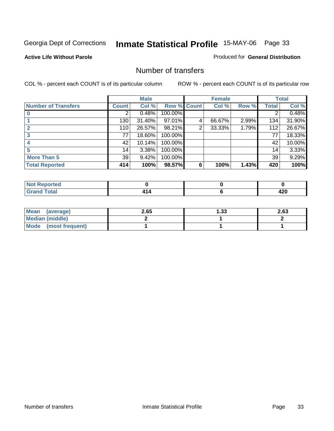### **Active Life Without Parole**

#### Produced for **General Distribution**

### Number of transfers

|                            |              | <b>Male</b> |             |                | <b>Female</b> |       |              | <b>Total</b> |
|----------------------------|--------------|-------------|-------------|----------------|---------------|-------|--------------|--------------|
| <b>Number of Transfers</b> | <b>Count</b> | Col %       | Row % Count |                | Col %         | Row % | <b>Total</b> | Col %        |
|                            | 2            | 0.48%       | 100.00%     |                |               |       | 2            | 0.48%        |
|                            | 130          | 31.40%      | 97.01%      | 4              | 66.67%        | 2.99% | 134          | 31.90%       |
|                            | 110          | 26.57%      | 98.21%      | $\overline{2}$ | 33.33%        | 1.79% | 112          | 26.67%       |
| 3                          | 77           | 18.60%      | 100.00%     |                |               |       | 77           | 18.33%       |
|                            | 42           | 10.14%      | 100.00%     |                |               |       | 42           | 10.00%       |
|                            | 14           | 3.38%       | 100.00%     |                |               |       | 14           | 3.33%        |
| <b>More Than 5</b>         | 39           | 9.42%       | 100.00%     |                |               |       | 39           | 9.29%        |
| <b>Total Reported</b>      | 414          | 100%        | 98.57%      | 6              | 100%          | 1.43% | 420          | 100%         |

| .<br>тес<br>N |  |               |
|---------------|--|---------------|
| .             |  | .<br>.<br>−∠∪ |

| Mean (average)       | 2.65 | 1.33 | 2.63 |
|----------------------|------|------|------|
| Median (middle)      |      |      |      |
| Mode (most frequent) |      |      |      |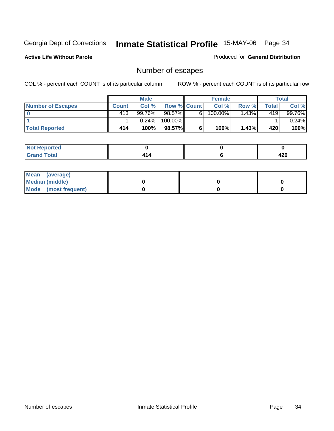**Active Life Without Parole** 

Produced for **General Distribution**

### Number of escapes

|                          |              | <b>Male</b> |                    |   | <b>Female</b> |          |       | Total    |
|--------------------------|--------------|-------------|--------------------|---|---------------|----------|-------|----------|
| <b>Number of Escapes</b> | <b>Count</b> | Col %       | <b>Row % Count</b> |   | Col %         | Row %    | Total | Col %    |
|                          | 413          | 99.76%      | 98.57%             | 6 | $100.00\%$    | $1.43\%$ | 419   | 99.76%   |
|                          |              | 0.24%       | 100.00%            |   |               |          |       | $0.24\%$ |
| <b>Total Reported</b>    | 414          | 100%        | $98.57\%$          |   | 100%          | 1.43%    | 420   | 100%     |

| the seat of the<br>n eo<br>NO  |  |     |
|--------------------------------|--|-----|
| <b>Total</b><br><b>U</b> ldilu |  | 420 |

| Mean (average)       |  |  |
|----------------------|--|--|
| Median (middle)      |  |  |
| Mode (most frequent) |  |  |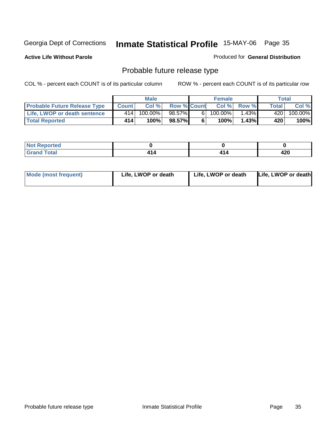**Active Life Without Parole** 

Produced for **General Distribution**

## Probable future release type

|                                     |              | <b>Male</b> |                    |   | <b>Female</b> |             |       | Total   |
|-------------------------------------|--------------|-------------|--------------------|---|---------------|-------------|-------|---------|
| <b>Probable Future Release Type</b> | <b>Count</b> | Col%        | <b>Row % Count</b> |   |               | Col % Row % | Total | Col %   |
| <b>Life, LWOP or death sentence</b> | 414          | 100.00%     | 98.57%             | 6 | $100.00\%$    | $1.43\%$    | 420   | 100.00% |
| <b>Total Reported</b>               | 414          | 100%        | 98.57%             | 6 | 100%          | 1.43%       | 420   | 100%    |

| <b>rted</b><br>NOT |     |      |      |
|--------------------|-----|------|------|
| <b>otal</b>        | 4 A | . .  | חרו  |
| $\sim$             | T I | + 14 | 44 Y |

| <b>Mode (most frequent)</b> | Life, LWOP or death | Life, LWOP or death | Life, LWOP or death |
|-----------------------------|---------------------|---------------------|---------------------|
|-----------------------------|---------------------|---------------------|---------------------|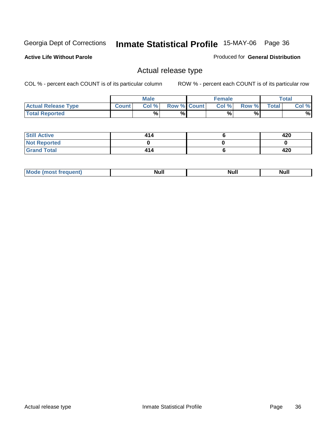**Active Life Without Parole** 

Produced for **General Distribution**

### Actual release type

|                            |        | <b>Male</b> |                    | <b>Female</b> |       |              | Total |
|----------------------------|--------|-------------|--------------------|---------------|-------|--------------|-------|
| <b>Actual Release Type</b> | Count. | Col %       | <b>Row % Count</b> | Col %         | Row % | <b>Total</b> | Col % |
| <b>Total Reported</b>      |        | %           | %                  | %             | %     |              | %     |

| <b>Still Active</b> | 414 | 420 |
|---------------------|-----|-----|
| <b>Not Reported</b> |     |     |
| <b>Grand Total</b>  | 414 | 420 |

| .<br>,,,,,<br>. | лĽ |  |
|-----------------|----|--|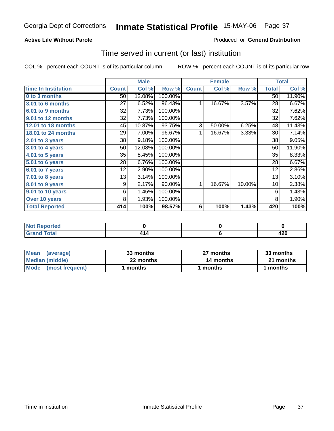### **Active Life Without Parole**

#### Produced for **General Distribution**

### Time served in current (or last) institution

|                            |              | <b>Male</b> |         |              | <b>Female</b> |        |                 | <b>Total</b> |
|----------------------------|--------------|-------------|---------|--------------|---------------|--------|-----------------|--------------|
| <b>Time In Institution</b> | <b>Count</b> | Col %       | Row %   | <b>Count</b> | Col %         | Row %  | <b>Total</b>    | Col %        |
| 0 to 3 months              | 50           | 12.08%      | 100.00% |              |               |        | 50              | 11.90%       |
| 3.01 to 6 months           | 27           | 6.52%       | 96.43%  | 1            | 16.67%        | 3.57%  | 28              | 6.67%        |
| 6.01 to 9 months           | 32           | 7.73%       | 100.00% |              |               |        | 32              | 7.62%        |
| 9.01 to 12 months          | 32           | 7.73%       | 100.00% |              |               |        | 32              | 7.62%        |
| 12.01 to 18 months         | 45           | 10.87%      | 93.75%  | 3            | 50.00%        | 6.25%  | 48              | 11.43%       |
| 18.01 to 24 months         | 29           | 7.00%       | 96.67%  | 1            | 16.67%        | 3.33%  | 30              | 7.14%        |
| 2.01 to 3 years            | 38           | 9.18%       | 100.00% |              |               |        | 38              | 9.05%        |
| 3.01 to 4 years            | 50           | 12.08%      | 100.00% |              |               |        | 50              | 11.90%       |
| 4.01 to 5 years            | 35           | 8.45%       | 100.00% |              |               |        | 35              | 8.33%        |
| 5.01 to 6 years            | 28           | 6.76%       | 100.00% |              |               |        | 28              | 6.67%        |
| 6.01 to 7 years            | 12           | 2.90%       | 100.00% |              |               |        | 12              | 2.86%        |
| $7.01$ to 8 years          | 13           | 3.14%       | 100.00% |              |               |        | 13              | 3.10%        |
| 8.01 to 9 years            | 9            | 2.17%       | 90.00%  | 1            | 16.67%        | 10.00% | 10 <sup>1</sup> | 2.38%        |
| 9.01 to 10 years           | 6            | 1.45%       | 100.00% |              |               |        | 6               | 1.43%        |
| Over 10 years              | 8            | 1.93%       | 100.00% |              |               |        | 8               | 1.90%        |
| <b>Total Reported</b>      | 414          | 100%        | 98.57%  | 6            | 100%          | 1.43%  | 420             | 100%         |

| <b>Not Reported</b> |     |          |
|---------------------|-----|----------|
| <b>Total</b>        | . E | <br>44 V |

| <b>Mean</b><br>(average) | 33 months | 27 months | 33 months |  |
|--------------------------|-----------|-----------|-----------|--|
| Median (middle)          | 22 months | 14 months | 21 months |  |
| Mode (most frequent)     | months    | l months  | 1 months  |  |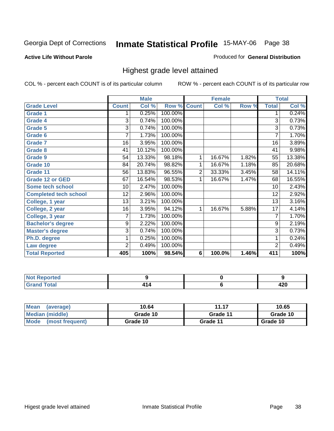#### **Active Life Without Parole**

#### Produced for **General Distribution**

### Highest grade level attained

|                              |              | <b>Male</b> |         |                | <b>Female</b> |       |                 | <b>Total</b> |
|------------------------------|--------------|-------------|---------|----------------|---------------|-------|-----------------|--------------|
| <b>Grade Level</b>           | <b>Count</b> | Col %       | Row %   | <b>Count</b>   | Col %         | Row % | <b>Total</b>    | Col %        |
| <b>Grade 1</b>               | 1            | 0.25%       | 100.00% |                |               |       | 1               | 0.24%        |
| <b>Grade 4</b>               | 3            | 0.74%       | 100.00% |                |               |       | $\overline{3}$  | 0.73%        |
| Grade 5                      | 3            | 0.74%       | 100.00% |                |               |       | 3               | 0.73%        |
| Grade 6                      | 7            | 1.73%       | 100.00% |                |               |       | $\overline{7}$  | 1.70%        |
| <b>Grade 7</b>               | 16           | 3.95%       | 100.00% |                |               |       | $\overline{16}$ | 3.89%        |
| <b>Grade 8</b>               | 41           | 10.12%      | 100.00% |                |               |       | 41              | 9.98%        |
| <b>Grade 9</b>               | 54           | 13.33%      | 98.18%  | 1              | 16.67%        | 1.82% | 55              | 13.38%       |
| Grade 10                     | 84           | 20.74%      | 98.82%  | 1              | 16.67%        | 1.18% | 85              | 20.68%       |
| Grade 11                     | 56           | 13.83%      | 96.55%  | $\overline{c}$ | 33.33%        | 3.45% | 58              | 14.11%       |
| <b>Grade 12 or GED</b>       | 67           | 16.54%      | 98.53%  | 1              | 16.67%        | 1.47% | 68              | 16.55%       |
| <b>Some tech school</b>      | 10           | 2.47%       | 100.00% |                |               |       | 10              | 2.43%        |
| <b>Completed tech school</b> | 12           | 2.96%       | 100.00% |                |               |       | 12              | 2.92%        |
| College, 1 year              | 13           | 3.21%       | 100.00% |                |               |       | 13              | 3.16%        |
| College, 2 year              | 16           | 3.95%       | 94.12%  | 1              | 16.67%        | 5.88% | $\overline{17}$ | 4.14%        |
| College, 3 year              | 7            | 1.73%       | 100.00% |                |               |       | 7               | 1.70%        |
| <b>Bachelor's degree</b>     | 9            | 2.22%       | 100.00% |                |               |       | 9               | 2.19%        |
| <b>Master's degree</b>       | 3            | 0.74%       | 100.00% |                |               |       | 3               | 0.73%        |
| Ph.D. degree                 | 1            | 0.25%       | 100.00% |                |               |       | 1               | 0.24%        |
| Law degree                   | 2            | 0.49%       | 100.00% |                |               |       | $\overline{c}$  | 0.49%        |
| <b>Total Reported</b>        | 405          | 100%        | 98.54%  | 6              | 100.0%        | 1.46% | 411             | 100%         |

| i Alban<br><b>rted</b><br>NI 6<br>. |  |          |
|-------------------------------------|--|----------|
| $T0+0$<br>$-1$                      |  | .<br>42U |

| Mean<br>(average)              | 10.64    | 11.17    | 10.65    |
|--------------------------------|----------|----------|----------|
| Median (middle)                | Grade 10 | Grade 11 | Grade 10 |
| <b>Mode</b><br>(most frequent) | Grade 10 | Grade 11 | Grade 10 |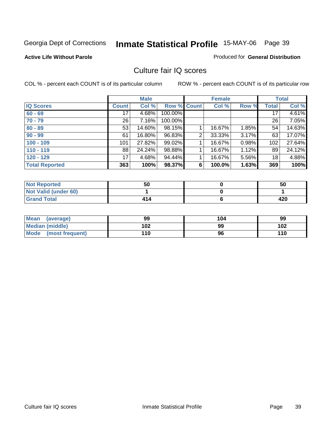#### **Active Life Without Parole**

#### Produced for **General Distribution**

### Culture fair IQ scores

|                       |                 | <b>Male</b> |             |                | <b>Female</b> |       |                 | <b>Total</b> |
|-----------------------|-----------------|-------------|-------------|----------------|---------------|-------|-----------------|--------------|
| <b>IQ Scores</b>      | <b>Count</b>    | Col %       | Row % Count |                | Col %         | Row % | Total           | Col %        |
| $60 - 69$             | 17              | 4.68%       | 100.00%     |                |               |       | $\overline{17}$ | 4.61%        |
| $70 - 79$             | 26 <sup>1</sup> | 7.16%       | 100.00%     |                |               |       | 26              | 7.05%        |
| $80 - 89$             | 53              | 14.60%      | 98.15%      |                | 16.67%        | 1.85% | 54              | 14.63%       |
| $90 - 99$             | 61              | 16.80%      | 96.83%      | $\overline{2}$ | 33.33%        | 3.17% | 63              | 17.07%       |
| $100 - 109$           | 101             | 27.82%      | 99.02%      |                | 16.67%        | 0.98% | 102             | 27.64%       |
| $110 - 119$           | 88              | 24.24%      | 98.88%      |                | 16.67%        | 1.12% | 89              | 24.12%       |
| $120 - 129$           | 17              | 4.68%       | 94.44%      |                | 16.67%        | 5.56% | 18              | 4.88%        |
| <b>Total Reported</b> | 363             | 100%        | 98.37%      | 6              | 100.0%        | 1.63% | 369             | 100%         |

| <b>Not Reported</b>         | 50  | 50  |
|-----------------------------|-----|-----|
| <b>Not Valid (under 60)</b> |     |     |
| <b>Grand Total</b>          | 414 | 420 |

| Mean (average)       | 99  | 104 | 99  |
|----------------------|-----|-----|-----|
| Median (middle)      | 102 | 99  | 102 |
| Mode (most frequent) | 110 | 96  | 110 |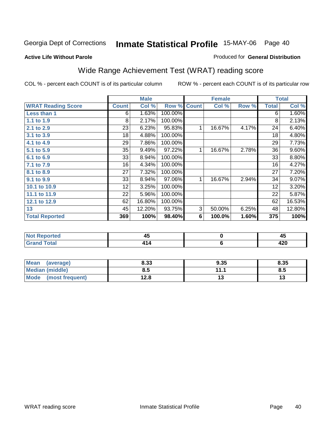#### **Active Life Without Parole**

#### Produced for **General Distribution**

# Wide Range Achievement Test (WRAT) reading score

COL % - percent each COUNT is of its particular column ROW % - percent each COUNT is of its particular row

 **6**

|                           |              | <b>Male</b> |         |              | <b>Female</b> |       |              | <b>Total</b> |
|---------------------------|--------------|-------------|---------|--------------|---------------|-------|--------------|--------------|
| <b>WRAT Reading Score</b> | <b>Count</b> | Col %       | Row %   | <b>Count</b> | Col %         | Row % | <b>Total</b> | Col %        |
| Less than 1               | 6            | 1.63%       | 100.00% |              |               |       | 6            | 1.60%        |
| 1.1 to 1.9                | 8            | 2.17%       | 100.00% |              |               |       | 8            | 2.13%        |
| 2.1 to 2.9                | 23           | 6.23%       | 95.83%  | 1            | 16.67%        | 4.17% | 24           | 6.40%        |
| 3.1 to 3.9                | 18           | 4.88%       | 100.00% |              |               |       | 18           | 4.80%        |
| 4.1 to 4.9                | 29           | 7.86%       | 100.00% |              |               |       | 29           | 7.73%        |
| 5.1 to 5.9                | 35           | 9.49%       | 97.22%  | 1            | 16.67%        | 2.78% | 36           | 9.60%        |
| 6.1 to 6.9                | 33           | 8.94%       | 100.00% |              |               |       | 33           | 8.80%        |
| 7.1 to 7.9                | 16           | 4.34%       | 100.00% |              |               |       | 16           | 4.27%        |
| 8.1 to 8.9                | 27           | 7.32%       | 100.00% |              |               |       | 27           | 7.20%        |
| 9.1 to 9.9                | 33           | 8.94%       | 97.06%  | 1            | 16.67%        | 2.94% | 34           | 9.07%        |
| 10.1 to 10.9              | 12           | 3.25%       | 100.00% |              |               |       | 12           | 3.20%        |
| 11.1 to 11.9              | 22           | 5.96%       | 100.00% |              |               |       | 22           | 5.87%        |
| 12.1 to 12.9              | 62           | 16.80%      | 100.00% |              |               |       | 62           | 16.53%       |
| 13                        | 45           | 12.20%      | 93.75%  | 3            | 50.00%        | 6.25% | 48           | 12.80%       |
| <b>Total Reported</b>     | 369          | 100%        | 98.40%  | 6            | 100.0%        | 1.60% | 375          | 100%         |
|                           |              |             |         |              |               |       |              |              |
| <b>Not Reported</b>       |              | 45          |         |              | $\mathbf 0$   |       |              | 45           |

| Mean<br>(average)       | 8.33 | 9.35     | 8.35 |
|-------------------------|------|----------|------|
| Median (middle)         | 8.5  | 447<br>. | o.u  |
| Mode<br>(most frequent) | 12.8 | טו       |      |

 **414**

 **Grand Total**

 **420**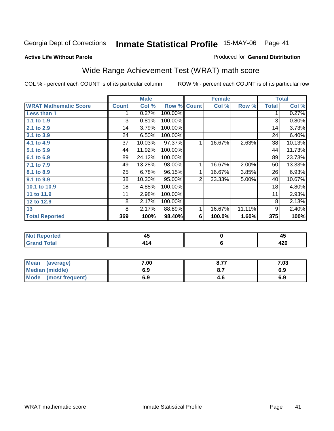#### **Active Life Without Parole**

#### Produced for **General Distribution**

# Wide Range Achievement Test (WRAT) math score

|                              |              | <b>Male</b> |         |                | <b>Female</b> |        |              | <b>Total</b> |
|------------------------------|--------------|-------------|---------|----------------|---------------|--------|--------------|--------------|
| <b>WRAT Mathematic Score</b> | <b>Count</b> | Col %       | Row %   | <b>Count</b>   | Col %         | Row %  | <b>Total</b> | Col %        |
| Less than 1                  |              | 0.27%       | 100.00% |                |               |        |              | 0.27%        |
| 1.1 to 1.9                   | 3            | 0.81%       | 100.00% |                |               |        | 3            | 0.80%        |
| 2.1 to 2.9                   | 14           | 3.79%       | 100.00% |                |               |        | 14           | 3.73%        |
| 3.1 to 3.9                   | 24           | 6.50%       | 100.00% |                |               |        | 24           | 6.40%        |
| 4.1 to 4.9                   | 37           | 10.03%      | 97.37%  | 1              | 16.67%        | 2.63%  | 38           | 10.13%       |
| 5.1 to 5.9                   | 44           | 11.92%      | 100.00% |                |               |        | 44           | 11.73%       |
| 6.1 to 6.9                   | 89           | 24.12%      | 100.00% |                |               |        | 89           | 23.73%       |
| 7.1 to 7.9                   | 49           | 13.28%      | 98.00%  | 1              | 16.67%        | 2.00%  | 50           | 13.33%       |
| 8.1 to 8.9                   | 25           | 6.78%       | 96.15%  | 1              | 16.67%        | 3.85%  | 26           | 6.93%        |
| 9.1 to 9.9                   | 38           | 10.30%      | 95.00%  | $\overline{2}$ | 33.33%        | 5.00%  | 40           | 10.67%       |
| 10.1 to 10.9                 | 18           | 4.88%       | 100.00% |                |               |        | 18           | 4.80%        |
| 11 to 11.9                   | 11           | 2.98%       | 100.00% |                |               |        | 11           | 2.93%        |
| 12 to 12.9                   | 8            | 2.17%       | 100.00% |                |               |        | 8            | 2.13%        |
| 13                           | 8            | 2.17%       | 88.89%  | $\mathbf{1}$   | 16.67%        | 11.11% | 9            | 2.40%        |
| <b>Total Reported</b>        | 369          | 100%        | 98.40%  | 6              | 100.0%        | 1.60%  | 375          | 100%         |

| <b>Not Reported</b> | 77 | - 7      |
|---------------------|----|----------|
| <b>Grand Total</b>  |    | ,<br>42U |

| Mean<br>(average)      | 7.00 | 8.77                          | 7.03 |
|------------------------|------|-------------------------------|------|
| <b>Median (middle)</b> | 6.9  | $\mathbf{o} \cdot \mathbf{v}$ | 6.9  |
| Mode (most frequent)   | 6.9  | 4.6                           | 6.9  |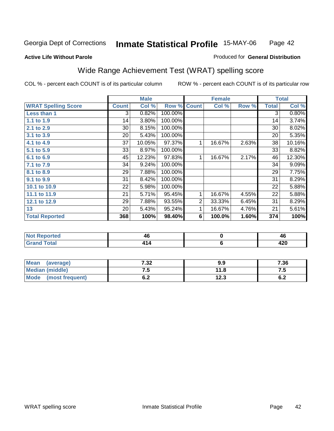#### **Active Life Without Parole**

#### Produced for **General Distribution**

# Wide Range Achievement Test (WRAT) spelling score

|                            |              | <b>Male</b> |                    |                | <b>Female</b> |       |              | <b>Total</b> |
|----------------------------|--------------|-------------|--------------------|----------------|---------------|-------|--------------|--------------|
| <b>WRAT Spelling Score</b> | <b>Count</b> | Col %       | <b>Row % Count</b> |                | Col %         | Row % | <b>Total</b> | Col %        |
| <b>Less than 1</b>         | 3            | 0.82%       | 100.00%            |                |               |       | 3            | 0.80%        |
| 1.1 to 1.9                 | 14           | 3.80%       | 100.00%            |                |               |       | 14           | 3.74%        |
| 2.1 to 2.9                 | 30           | 8.15%       | 100.00%            |                |               |       | 30           | 8.02%        |
| 3.1 to 3.9                 | 20           | 5.43%       | 100.00%            |                |               |       | 20           | 5.35%        |
| 4.1 to 4.9                 | 37           | 10.05%      | 97.37%             | 1              | 16.67%        | 2.63% | 38           | 10.16%       |
| 5.1 to 5.9                 | 33           | 8.97%       | 100.00%            |                |               |       | 33           | 8.82%        |
| 6.1 to 6.9                 | 45           | 12.23%      | 97.83%             | 1              | 16.67%        | 2.17% | 46           | 12.30%       |
| 7.1 to 7.9                 | 34           | 9.24%       | 100.00%            |                |               |       | 34           | 9.09%        |
| 8.1 to 8.9                 | 29           | 7.88%       | 100.00%            |                |               |       | 29           | 7.75%        |
| 9.1 to 9.9                 | 31           | 8.42%       | 100.00%            |                |               |       | 31           | 8.29%        |
| 10.1 to 10.9               | 22           | 5.98%       | 100.00%            |                |               |       | 22           | 5.88%        |
| 11.1 to 11.9               | 21           | 5.71%       | 95.45%             | 1              | 16.67%        | 4.55% | 22           | 5.88%        |
| 12.1 to 12.9               | 29           | 7.88%       | 93.55%             | $\overline{2}$ | 33.33%        | 6.45% | 31           | 8.29%        |
| 13                         | 20           | 5.43%       | 95.24%             | 1              | 16.67%        | 4.76% | 21           | 5.61%        |
| <b>Total Reported</b>      | 368          | 100%        | 98.40%             | 6              | 100.0%        | 1.60% | 374          | 100%         |
|                            |              |             |                    |                |               |       |              |              |
| <b>Not Reported</b>        |              | 46          |                    |                | $\pmb{0}$     |       |              | 46           |

| .                     | $- - -$ | $\sim$ $\sim$ | $- - -$ |
|-----------------------|---------|---------------|---------|
|                       |         |               |         |
|                       |         |               |         |
|                       |         |               |         |
|                       |         |               |         |
|                       |         |               |         |
| $\mathsf{v}$ and      |         |               |         |
| <b>Total</b><br>Grand |         |               | 200     |

| <b>Mean</b><br>(average) | 7.32 | 9.9  | 7.36       |
|--------------------------|------|------|------------|
| <b>Median (middle)</b>   |      | 11.8 | ن. ا       |
| Mode (most frequent)     | 0.Z  | 12.3 | c n<br>ν.Ζ |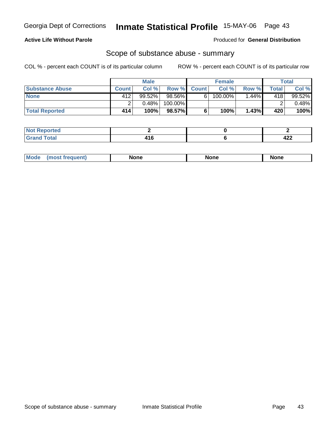#### **Active Life Without Parole**

Produced for **General Distribution**

### Scope of substance abuse - summary

|                        |              | <b>Male</b> |         |                    | <b>Female</b>         |                       |       | Total     |
|------------------------|--------------|-------------|---------|--------------------|-----------------------|-----------------------|-------|-----------|
| <b>Substance Abuse</b> | <b>Count</b> | Col %       |         | <b>Row % Count</b> | Col %                 | Row %                 | Total | Col %     |
| <b>None</b>            | 412'         | $99.52\%$   | 98.56%  | 61                 | $100.\overline{00\%}$ | $1.\overline{44\%}$ i | 418   | $99.52\%$ |
|                        |              | 0.48%       | 100.00% |                    |                       |                       |       | $0.48\%$  |
| <b>Total Reported</b>  | 414          | 100%        | 98.57%l |                    | 100%                  | 1.43%                 | 420   | 100%      |

| Reported           |                    |          |
|--------------------|--------------------|----------|
| <b>otal</b><br>--- | - -<br>. I V<br>__ | ,,,<br>╌ |

|  | Mode | lone | None | <b>None</b> |
|--|------|------|------|-------------|
|--|------|------|------|-------------|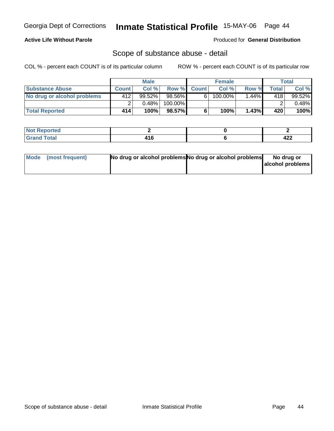### **Active Life Without Parole**

Produced for **General Distribution**

### Scope of substance abuse - detail

|                             |              | <b>Male</b> |           |              | <b>Female</b> |         |       | <b>Total</b> |
|-----------------------------|--------------|-------------|-----------|--------------|---------------|---------|-------|--------------|
| <b>Substance Abuse</b>      | <b>Count</b> | Col%        | Row %     | <b>Count</b> | Col%          | Row %   | Total | Col %        |
| No drug or alcohol problems | 412          | 99.52%      | $98.56\%$ | 6'           | $100.00\%$    | $.44\%$ | 418   | $99.52\%$    |
|                             |              | $0.48\%$    | 100.00%   |              |               |         |       | $0.48\%$     |
| <b>Total Reported</b>       | 414          | 100%        | 98.57%    |              | 100%          | 1.43%   | 420   | 100%         |

| Reported     |                        |         |
|--------------|------------------------|---------|
| <b>Total</b> | $\overline{a}$<br>$ -$ | <br>444 |

| Mode (most frequent) | No drug or alcohol problems No drug or alcohol problems | No drug or       |
|----------------------|---------------------------------------------------------|------------------|
|                      |                                                         | alcohol problems |
|                      |                                                         |                  |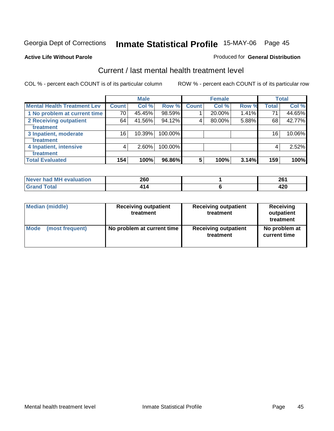#### **Active Life Without Parole**

#### Produced for **General Distribution**

### Current / last mental health treatment level

|                                    |              | <b>Male</b> |            |              | <b>Female</b> |       |              | <b>Total</b> |
|------------------------------------|--------------|-------------|------------|--------------|---------------|-------|--------------|--------------|
| <b>Mental Health Treatment Lev</b> | <b>Count</b> | Col %       | Row %      | <b>Count</b> | Col %         | Row % | <b>Total</b> | Col %        |
| 1 No problem at current time       | 70           | 45.45%      | 98.59%     |              | 20.00%        | 1.41% | 71           | 44.65%       |
| <b>2 Receiving outpatient</b>      | 64           | 41.56%      | 94.12%     | 4            | 80.00%        | 5.88% | 68           | 42.77%       |
| treatment                          |              |             |            |              |               |       |              |              |
| 3 Inpatient, moderate              | 16           | 10.39%      | 100.00%    |              |               |       | 16           | 10.06%       |
| treatment                          |              |             |            |              |               |       |              |              |
| 4 Inpatient, intensive             | 4            | $2.60\%$    | $100.00\%$ |              |               |       | 4            | 2.52%        |
| treatment                          |              |             |            |              |               |       |              |              |
| <b>Total Evaluated</b>             | 154          | 100%        | 96.86%     | 5            | 100%          | 3.14% | 159          | 100%         |

| Never had MH evaluation | 260 | 20 <sub>0</sub><br>20 ' |
|-------------------------|-----|-------------------------|
| Total                   |     | . מ<br>7ZU              |

| <b>Median (middle)</b> | <b>Receiving outpatient</b><br>treatment | <b>Receiving outpatient</b><br>treatment | <b>Receiving</b><br>outpatient<br>treatment |  |
|------------------------|------------------------------------------|------------------------------------------|---------------------------------------------|--|
| <b>Mode</b>            | No problem at current time               | <b>Receiving outpatient</b>              | No problem at                               |  |
| (most frequent)        |                                          | treatment                                | current time                                |  |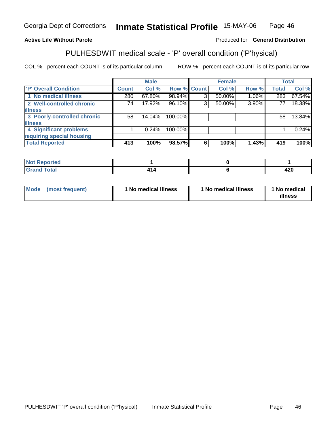#### **Active Life Without Parole**

#### Produced for **General Distribution**

# PULHESDWIT medical scale - 'P' overall condition ('P'hysical)

|                             |              | <b>Male</b> |         |             | <b>Female</b> |       |              | <b>Total</b> |
|-----------------------------|--------------|-------------|---------|-------------|---------------|-------|--------------|--------------|
| 'P' Overall Condition       | <b>Count</b> | Col %       |         | Row % Count | Col %         | Row % | <b>Total</b> | Col %        |
| 1 No medical illness        | 280          | 67.80%      | 98.94%  | ົ           | 50.00%        | 1.06% | 283          | 67.54%       |
| 2 Well-controlled chronic   | 74           | 17.92%      | 96.10%  | 3           | 50.00%        | 3.90% | 77           | 18.38%       |
| <b>illness</b>              |              |             |         |             |               |       |              |              |
| 3 Poorly-controlled chronic | 58           | 14.04%      | 100.00% |             |               |       | 58           | 13.84%       |
| <b>illness</b>              |              |             |         |             |               |       |              |              |
| 4 Significant problems      |              | 0.24%       | 100.00% |             |               |       |              | 0.24%        |
| requiring special housing   |              |             |         |             |               |       |              |              |
| <b>Total Reported</b>       | 413          | 100%        | 98.57%  | 6           | 100%          | 1.43% | 419          | 100%l        |

| rtea<br>,,,,,,<br>$\cdots$ |  |             |
|----------------------------|--|-------------|
| $T0+0'$<br>---             |  | れつの<br>44 U |

| Mode | (most frequent) | 1 No medical illness | <sup>1</sup> No medical illness | 1 No medical<br>illness |
|------|-----------------|----------------------|---------------------------------|-------------------------|
|------|-----------------|----------------------|---------------------------------|-------------------------|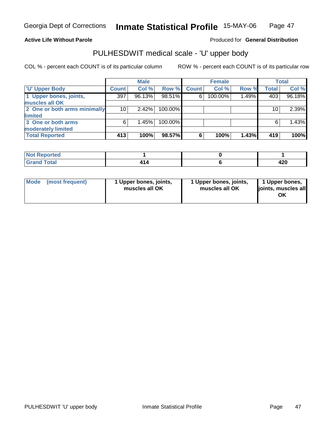#### **Active Life Without Parole**

#### Produced for **General Distribution**

### PULHESDWIT medical scale - 'U' upper body

|                              |              | <b>Male</b> |         |              | <b>Female</b> |       |              | <b>Total</b> |
|------------------------------|--------------|-------------|---------|--------------|---------------|-------|--------------|--------------|
| <b>U' Upper Body</b>         | <b>Count</b> | Col %       | Row %   | <b>Count</b> | Col %         | Row % | <b>Total</b> | Col %        |
| 1 Upper bones, joints,       | 397          | 96.13%      | 98.51%  | 6            | 100.00%       | 1.49% | 403          | 96.18%       |
| muscles all OK               |              |             |         |              |               |       |              |              |
| 2 One or both arms minimally | 10           | $2.42\%$    | 100.00% |              |               |       | 10           | 2.39%        |
| limited                      |              |             |         |              |               |       |              |              |
| 3 One or both arms           | 6            | 1.45%       | 100.00% |              |               |       | 6            | 1.43%        |
| moderately limited           |              |             |         |              |               |       |              |              |
| <b>Total Reported</b>        | 413          | 100%        | 98.57%  | 6            | 100%          | 1.43% | 419          | 100%         |

| Reported<br><b>Not R</b><br>. <b>.</b> |   |              |
|----------------------------------------|---|--------------|
| <b>Total</b>                           | . | ה הי<br>44 U |

| Mode | (most frequent) | 1 Upper bones, joints,<br>muscles all OK | 1 Upper bones, joints,<br>muscles all OK | 1 Upper bones,<br>joints, muscles all<br>ΟK |
|------|-----------------|------------------------------------------|------------------------------------------|---------------------------------------------|
|------|-----------------|------------------------------------------|------------------------------------------|---------------------------------------------|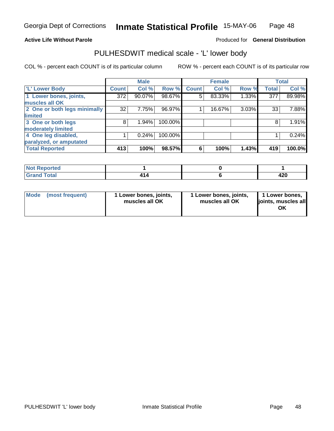#### **Active Life Without Parole**

#### Produced for **General Distribution**

### PULHESDWIT medical scale - 'L' lower body

|                              |                    | <b>Male</b> |         |              | <b>Female</b> |       |              | <b>Total</b> |
|------------------------------|--------------------|-------------|---------|--------------|---------------|-------|--------------|--------------|
| 'L' Lower Body               | Count <sup>'</sup> | Col %       | Row %   | <b>Count</b> | Col %         | Row % | <b>Total</b> | Col %        |
| 1 Lower bones, joints,       | 372                | 90.07%      | 98.67%  | 5            | 83.33%        | 1.33% | 377          | 89.98%       |
| muscles all OK               |                    |             |         |              |               |       |              |              |
| 2 One or both legs minimally | 32                 | 7.75%       | 96.97%  |              | 16.67%        | 3.03% | 33           | 7.88%        |
| limited                      |                    |             |         |              |               |       |              |              |
| 3 One or both legs           | 8                  | 1.94%       | 100.00% |              |               |       | 8            | 1.91%        |
| moderately limited           |                    |             |         |              |               |       |              |              |
| 4 One leg disabled,          |                    | 0.24%       | 100.00% |              |               |       |              | 0.24%        |
| paralyzed, or amputated      |                    |             |         |              |               |       |              |              |
| <b>Total Reported</b>        | 413                | 100%        | 98.57%  | 6            | 100%          | 1.43% | 419          | 100.0%       |

| <b>Not</b><br><b>Exercised</b>             |     |             |
|--------------------------------------------|-----|-------------|
| <b>Total</b><br>C <sub>rou</sub><br>______ | 414 | חרו<br>44 U |

| l Mode | (most frequent) | 1 Lower bones, joints,<br>muscles all OK | 1 Lower bones, joints,<br>muscles all OK | 1 Lower bones,<br>joints, muscles all<br>ΟK |
|--------|-----------------|------------------------------------------|------------------------------------------|---------------------------------------------|
|--------|-----------------|------------------------------------------|------------------------------------------|---------------------------------------------|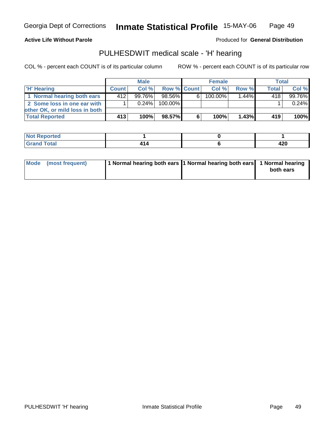**Active Life Without Parole** 

Produced for **General Distribution**

### PULHESDWIT medical scale - 'H' hearing

|                                | <b>Male</b>  |           |             | <b>Female</b> |            |          | <b>Total</b> |        |
|--------------------------------|--------------|-----------|-------------|---------------|------------|----------|--------------|--------|
| <b>H' Hearing</b>              | <b>Count</b> | Col%      | Row % Count |               | Col%       | Row %    | Total,       | Col %  |
| 1 Normal hearing both ears     | 412          | $99.76\%$ | 98.56%      | 6             | $100.00\%$ | $1.44\%$ | 418          | 99.76% |
| 2 Some loss in one ear with    |              | $0.24\%$  | 100.00%     |               |            |          |              | 0.24%  |
| other OK, or mild loss in both |              |           |             |               |            |          |              |        |
| <b>Total Reported</b>          | 413          | 100%      | 98.57%I     | 6             | 100%       | 1.43%    | 419          | 100%   |

| N<br>тес    |   |      |
|-------------|---|------|
| $f$ oto $f$ | - | חרו  |
| _____       |   | 44 U |

| Mode (most frequent) | 1 Normal hearing both ears  1 Normal hearing both ears   1 Normal hearing |           |
|----------------------|---------------------------------------------------------------------------|-----------|
|                      |                                                                           | both ears |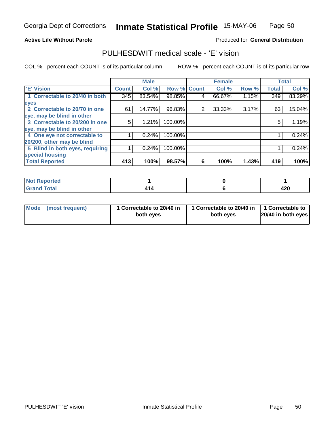#### **Active Life Without Parole**

#### Produced for **General Distribution**

### PULHESDWIT medical scale - 'E' vision

|                                 |              | <b>Male</b> |                    |   | <b>Female</b> |       |              | <b>Total</b> |
|---------------------------------|--------------|-------------|--------------------|---|---------------|-------|--------------|--------------|
| <b>E' Vision</b>                | <b>Count</b> | Col %       | <b>Row % Count</b> |   | Col %         | Row % | <b>Total</b> | Col %        |
| 1 Correctable to 20/40 in both  | 345          | 83.54%      | 98.85%             | 4 | 66.67%        | 1.15% | 349          | 83.29%       |
| eyes                            |              |             |                    |   |               |       |              |              |
| 2 Correctable to 20/70 in one   | 61           | 14.77%      | 96.83%             | 2 | 33.33%        | 3.17% | 63           | 15.04%       |
| eye, may be blind in other      |              |             |                    |   |               |       |              |              |
| 3 Correctable to 20/200 in one  | 5            | 1.21%       | 100.00%            |   |               |       | 5            | 1.19%        |
| eye, may be blind in other      |              |             |                    |   |               |       |              |              |
| 4 One eye not correctable to    |              | 0.24%       | 100.00%            |   |               |       |              | 0.24%        |
| 20/200, other may be blind      |              |             |                    |   |               |       |              |              |
| 5 Blind in both eyes, requiring |              | 0.24%       | 100.00%            |   |               |       |              | 0.24%        |
| special housing                 |              |             |                    |   |               |       |              |              |
| <b>Total Reported</b>           | 413          | 100%        | 98.57%             | 6 | 100%          | 1.43% | 419          | 100%         |

| <b>Not Reported</b> |            |          |
|---------------------|------------|----------|
| <b>Grand Total</b>  | 1 A<br>+14 | <br>44 U |

| Mode (most frequent) | 1 Correctable to 20/40 in<br>both eyes | 1 Correctable to 20/40 in   1 Correctable to<br>both eves | 20/40 in both eyes |
|----------------------|----------------------------------------|-----------------------------------------------------------|--------------------|
|----------------------|----------------------------------------|-----------------------------------------------------------|--------------------|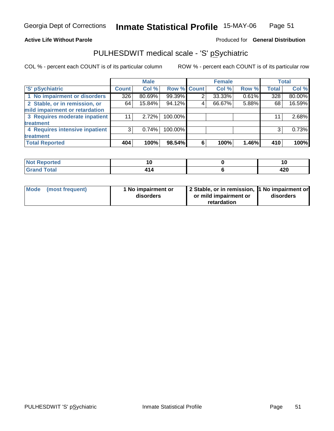#### **Active Life Without Parole**

#### Produced for **General Distribution**

# PULHESDWIT medical scale - 'S' pSychiatric

|                                |              | <b>Male</b> |             |   | <b>Female</b> |       |              | Total  |
|--------------------------------|--------------|-------------|-------------|---|---------------|-------|--------------|--------|
| 'S' pSychiatric                | <b>Count</b> | Col %       | Row % Count |   | Col %         | Row % | <b>Total</b> | Col %  |
| 1 No impairment or disorders   | 326          | 80.69%      | 99.39%      | 2 | 33.33%        | 0.61% | 328          | 80.00% |
| 2 Stable, or in remission, or  | 64           | 15.84%      | 94.12%      | 4 | 66.67%        | 5.88% | 68           | 16.59% |
| mild impairment or retardation |              |             |             |   |               |       |              |        |
| 3 Requires moderate inpatient  | 11           | 2.72%       | 100.00%     |   |               |       | 11           | 2.68%  |
| treatment                      |              |             |             |   |               |       |              |        |
| 4 Requires intensive inpatient | 3            | 0.74%       | 100.00%     |   |               |       | 3            | 0.73%  |
| treatment                      |              |             |             |   |               |       |              |        |
| <b>Total Reported</b>          | 404          | 100%        | 98.54%      | 6 | 100%          | 1.46% | 410          | 100%   |

| <b>Not Reported</b> |     | יי   |
|---------------------|-----|------|
| <b>Grand Total</b>  | 4 A | A ממ |
| Grand               | 414 | 44 U |

| Mode (most frequent) | 1 No impairment or<br>disorders | 2 Stable, or in remission, 1 No impairment or<br>or mild impairment or | disorders |  |
|----------------------|---------------------------------|------------------------------------------------------------------------|-----------|--|
|                      |                                 | retardation                                                            |           |  |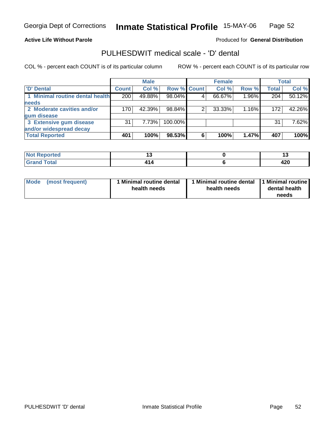#### **Active Life Without Parole**

#### Produced for **General Distribution**

### PULHESDWIT medical scale - 'D' dental

|                                 |              | <b>Male</b> |             |   | <b>Female</b> |       |              | <b>Total</b> |
|---------------------------------|--------------|-------------|-------------|---|---------------|-------|--------------|--------------|
| <b>D'</b> Dental                | <b>Count</b> | Col %       | Row % Count |   | Col %         | Row % | <b>Total</b> | Col %        |
| 1 Minimal routine dental health | 200          | 49.88%      | 98.04%      |   | 66.67%        | 1.96% | 204          | 50.12%       |
| <b>needs</b>                    |              |             |             |   |               |       |              |              |
| 2 Moderate cavities and/or      | 170          | 42.39%      | 98.84%      |   | 33.33%        | 1.16% | 172          | 42.26%       |
| gum disease                     |              |             |             |   |               |       |              |              |
| 3 Extensive gum disease         | 31           | 7.73%l      | 100.00%     |   |               |       | 31           | 7.62%        |
| and/or widespread decay         |              |             |             |   |               |       |              |              |
| <b>Total Reported</b>           | 401          | 100%        | 98.53%      | 6 | 100%          | 1.47% | 407          | 100%         |

| <b><i><u>Property</u></i></b><br>neo         | יי |             |
|----------------------------------------------|----|-------------|
| .'otal<br>$\sim$ $\sim$ $\sim$ $\sim$ $\sim$ |    | חרי<br>44 U |

| Mode            | 1 Minimal routine dental | Minimal routine dental  1 Minimal routine | dental health |
|-----------------|--------------------------|-------------------------------------------|---------------|
| (most frequent) | health needs             | health needs                              | needs         |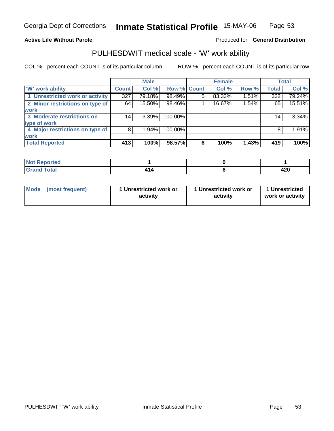#### **Active Life Without Parole**

#### Produced for **General Distribution**

### PULHESDWIT medical scale - 'W' work ability

|                                 |              | <b>Male</b> |             |   | <b>Female</b> |       |              | Total  |
|---------------------------------|--------------|-------------|-------------|---|---------------|-------|--------------|--------|
| W' work ability                 | <b>Count</b> | Col %       | Row % Count |   | Col %         | Row % | <b>Total</b> | Col %  |
| 1 Unrestricted work or activity | 327          | 79.18%      | 98.49%      | 5 | 83.33%        | 1.51% | 332          | 79.24% |
| 2 Minor restrictions on type of | 64           | 15.50%      | 98.46%      |   | 16.67%        | 1.54% | 65           | 15.51% |
| <b>work</b>                     |              |             |             |   |               |       |              |        |
| 3 Moderate restrictions on      | 14           | $3.39\%$    | 100.00%     |   |               |       | 14           | 3.34%  |
| type of work                    |              |             |             |   |               |       |              |        |
| 4 Major restrictions on type of | 8            | $1.94\%$    | 100.00%     |   |               |       | 8            | 1.91%  |
| <b>work</b>                     |              |             |             |   |               |       |              |        |
| <b>Total Reported</b>           | 413          | 100%        | 98.57%      | 6 | 100%          | 1.43% | 419          | 100%   |

| <b>Not Reported</b> |     |            |
|---------------------|-----|------------|
| <b>Grand Total</b>  | 414 | 190<br>44U |

| <b>Mode</b><br>1 Unrestricted work or<br>1 Unrestricted work or<br>(most frequent)<br>activity<br>activity | 1 Unrestricted<br>work or activity |
|------------------------------------------------------------------------------------------------------------|------------------------------------|
|------------------------------------------------------------------------------------------------------------|------------------------------------|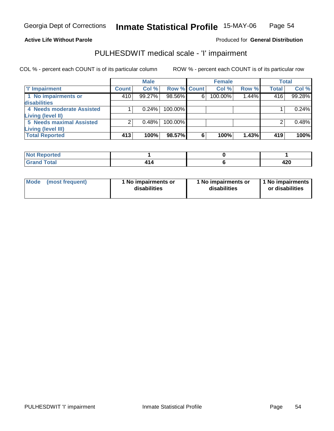#### **Active Life Without Parole**

### Produced for **General Distribution**

# PULHESDWIT medical scale - 'I' impairment

|                                 |              | <b>Male</b> |             |   | <b>Female</b> |       |              | <b>Total</b> |
|---------------------------------|--------------|-------------|-------------|---|---------------|-------|--------------|--------------|
| <b>T' Impairment</b>            | <b>Count</b> | Col %       | Row % Count |   | Col %         | Row % | <b>Total</b> | Col %        |
| 1 No impairments or             | 410          | 99.27%      | 98.56%      | 6 | 100.00%       | 1.44% | 416          | 99.28%       |
| disabilities                    |              |             |             |   |               |       |              |              |
| 4 Needs moderate Assisted       |              | 0.24%       | 100.00%     |   |               |       |              | 0.24%        |
| Living (level II)               |              |             |             |   |               |       |              |              |
| <b>5 Needs maximal Assisted</b> |              | 0.48%       | 100.00%     |   |               |       |              | 0.48%        |
| Living (level III)              |              |             |             |   |               |       |              |              |
| <b>Total Reported</b>           | 413          | 100%        | 98.57%      | 6 | 100%          | 1.43% | 419          | 100%         |

| orted<br>NG |  |            |
|-------------|--|------------|
| Total       |  | חרו<br>42J |

| Mode            | l No impairments or | 1 No impairments or | 1 1 No impairments |
|-----------------|---------------------|---------------------|--------------------|
| (most frequent) | disabilities        | disabilities        | or disabilities    |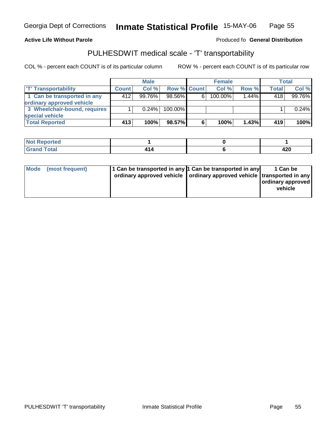Georgia Dept of Corrections

**Inmate Statistical Profile** 15-MAY-06 Page Page 55

**Active Life Without Parole Produced fo Seneral Distribution** 

### PULHESDWIT medical scale - 'T' transportability

|                              |              | <b>Male</b> |                    |   | <b>Female</b> |          |              | Total  |
|------------------------------|--------------|-------------|--------------------|---|---------------|----------|--------------|--------|
| <b>T' Transportability</b>   | <b>Count</b> | Col%        | <b>Row % Count</b> |   | Col %         | Row %    | <b>Total</b> | Col %  |
| 1 Can be transported in any  | 412          | $99.76\%$   | $98.56\%$          | 6 | 100.00%       | $1.44\%$ | 418          | 99.76% |
| ordinary approved vehicle    |              |             |                    |   |               |          |              |        |
| 3 Wheelchair-bound, requires |              | 0.24%       | $100.00\%$         |   |               |          |              | 0.24%  |
| special vehicle              |              |             |                    |   |               |          |              |        |
| <b>Total Reported</b>        | 413          | 100%        | 98.57%             | 6 | 100%          | 1.43%    | 419          | 100%   |

| المتألف والمستنقص والمتعارض<br>prted<br>וחש י |    |            |
|-----------------------------------------------|----|------------|
| <b>Total</b><br>Cro                           | ъ. | 400<br>44, |

| Mode | (most frequent) | 1 Can be transported in any 1 Can be transported in any<br>ordinary approved vehicle   ordinary approved vehicle   transported in any | 1 Can be<br>ordinary approved<br>vehicle |
|------|-----------------|---------------------------------------------------------------------------------------------------------------------------------------|------------------------------------------|
|      |                 |                                                                                                                                       |                                          |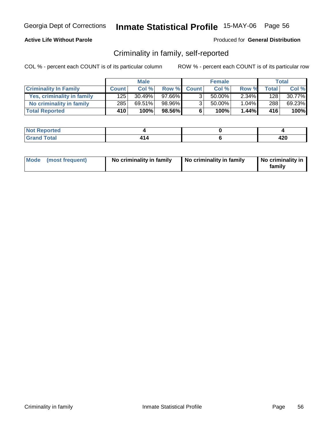### **Active Life Without Parole**

#### Produced for **General Distribution**

### Criminality in family, self-reported

|                              | <b>Male</b>  |        | <b>Female</b> |                |        | Total    |       |           |
|------------------------------|--------------|--------|---------------|----------------|--------|----------|-------|-----------|
| <b>Criminality In Family</b> | <b>Count</b> | Col %  | Row %         | <b>Count</b>   | Col %  | Row %    | Total | Col %     |
| Yes, criminality in family   | 125          | 30.49% | 97.66%        | 3 <sub>1</sub> | 50.00% | $2.34\%$ | 128   | $30.77\%$ |
| No criminality in family     | 285          | 69.51% | 98.96%        | 3 <sub>1</sub> | 50.00% | 1.04%    | 288   | 69.23%    |
| <b>Total Reported</b>        | 410          | 100%   | 98.56%        | 6              | 100%   | 1.44%    | 416'  | 100%      |

| المراجع بالتعبين<br>rteol              |   |           |
|----------------------------------------|---|-----------|
| المفمار<br><b>TULAI</b><br>$- \cdot -$ | . | .<br>44 Y |

| Mode (most frequent) | No criminality in family | No criminality in family | No criminality in<br>family |
|----------------------|--------------------------|--------------------------|-----------------------------|
|----------------------|--------------------------|--------------------------|-----------------------------|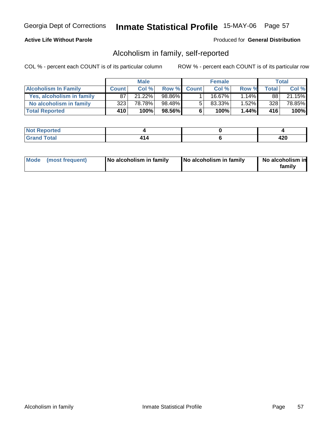### **Active Life Without Parole**

#### Produced for **General Distribution**

### Alcoholism in family, self-reported

|                             | <b>Male</b>  |        | <b>Female</b> |             |        | <b>Total</b> |              |        |
|-----------------------------|--------------|--------|---------------|-------------|--------|--------------|--------------|--------|
| <b>Alcoholism In Family</b> | <b>Count</b> | Col %  |               | Row % Count | Col %  | Row %        | <b>Total</b> | Col %  |
| Yes, alcoholism in family   | 87           | 21.22% | 98.86%        |             | 16.67% | 1.14%        | 88 I         | 21.15% |
| No alcoholism in family     | 323          | 78.78% | 98.48%        | -5          | 83.33% | 1.52%        | 328          | 78.85% |
| <b>Total Reported</b>       | 410          | 100%   | 98.56%        | 6           | 100%   | 1.44%        | 416          | 100%   |

| oorted<br>' NOT               |  |           |
|-------------------------------|--|-----------|
| <b>Total</b><br>Gran<br>----- |  | .<br>44 Y |

| Mode (most frequent)<br>No alcoholism in family | <b>No alcoholism in family</b> | No alcoholism in<br>familv |
|-------------------------------------------------|--------------------------------|----------------------------|
|-------------------------------------------------|--------------------------------|----------------------------|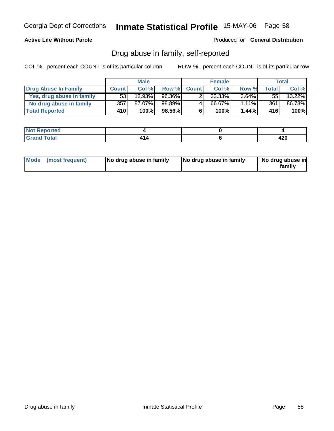### **Active Life Without Parole**

Produced for **General Distribution**

# Drug abuse in family, self-reported

|                           | <b>Male</b>  |        | <b>Female</b> |              |        | Total    |              |        |
|---------------------------|--------------|--------|---------------|--------------|--------|----------|--------------|--------|
| Drug Abuse In Family      | <b>Count</b> | Col %  | Row %         | <b>Count</b> | Col %  | Row %    | <b>Total</b> | Col %  |
| Yes, drug abuse in family | 53           | 12.93% | 96.36%        |              | 33.33% | $3.64\%$ | 55           | 13.22% |
| No drug abuse in family   | 357          | 87.07% | 98.89%        | 4            | 66.67% | 1.11%    | 361          | 86.78% |
| <b>Total Reported</b>     | 410'         | 100%   | 98.56%        | 6            | 100%   | $1.44\%$ | 416'         | 100%   |

| oorted<br>' NOT               |  |           |
|-------------------------------|--|-----------|
| <b>Total</b><br>Gran<br>----- |  | .<br>44 Y |

|  | Mode (most frequent) | No drug abuse in family | No drug abuse in family | No drug abuse in<br>family |
|--|----------------------|-------------------------|-------------------------|----------------------------|
|--|----------------------|-------------------------|-------------------------|----------------------------|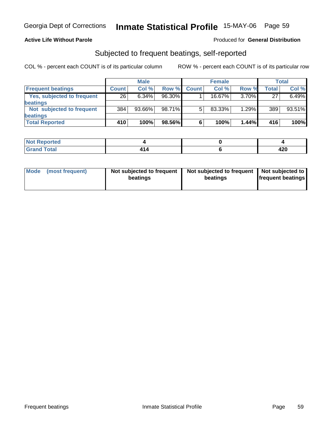### **Active Life Without Parole**

#### Produced for **General Distribution**

### Subjected to frequent beatings, self-reported

|                            |              | <b>Male</b> |        |              | <b>Female</b> |          |       | <b>Total</b> |
|----------------------------|--------------|-------------|--------|--------------|---------------|----------|-------|--------------|
| <b>Frequent beatings</b>   | <b>Count</b> | Col%        | Row %  | <b>Count</b> | Col%          | Row %    | Total | Col %        |
| Yes, subjected to frequent | 26           | 6.34%       | 96.30% |              | $16.67\%$     | $3.70\%$ | 27    | 6.49%        |
| beatings                   |              |             |        |              |               |          |       |              |
| Not subjected to frequent  | 384          | 93.66%      | 98.71% | 5            | 83.33%        | $1.29\%$ | 389   | 93.51%       |
| beatings                   |              |             |        |              |               |          |       |              |
| <b>Total Reported</b>      | 410          | 100%        | 98.56% | 6            | 100%          | $1.44\%$ | 416   | 100%         |

| <b>Not Reported</b><br>$\cdots$ |      |          |
|---------------------------------|------|----------|
| <b>Total</b><br>Croi            | l 14 | .<br>42U |

| Mode (most frequent) | Not subjected to frequent<br>beatings | Not subjected to frequent   Not subjected to  <br>beatings | <b>frequent beatings</b> |
|----------------------|---------------------------------------|------------------------------------------------------------|--------------------------|
|                      |                                       |                                                            |                          |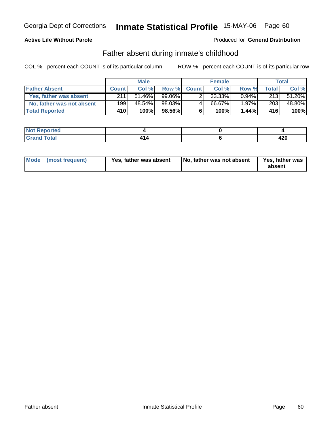### **Active Life Without Parole**

#### Produced for **General Distribution**

# Father absent during inmate's childhood

|                           | <b>Male</b>      |        | <b>Female</b> |             |        | Total    |              |        |
|---------------------------|------------------|--------|---------------|-------------|--------|----------|--------------|--------|
| <b>Father Absent</b>      | <b>Count</b>     | Col %  |               | Row % Count | Col %  | Row %    | <b>Total</b> | Col %  |
| Yes, father was absent    | 211              | 51.46% | 99.06%        |             | 33.33% | $0.94\%$ | 213          | 51.20% |
| No, father was not absent | 199              | 48.54% | 98.03%        | 4           | 66.67% | 1.97%    | 203          | 48.80% |
| <b>Total Reported</b>     | 410 <sup>1</sup> | 100%   | 98.56%        | 6           | 100%   | 1.44%    | 416'         | 100%   |

| المراجع بالتعبين<br>rteol              |   |           |
|----------------------------------------|---|-----------|
| المفمار<br><b>TULAI</b><br>$- \cdot -$ | . | .<br>44 Y |

| Mode (most frequent)<br>Yes, father was absent | No, father was not absent | Yes, father was<br>absent |
|------------------------------------------------|---------------------------|---------------------------|
|------------------------------------------------|---------------------------|---------------------------|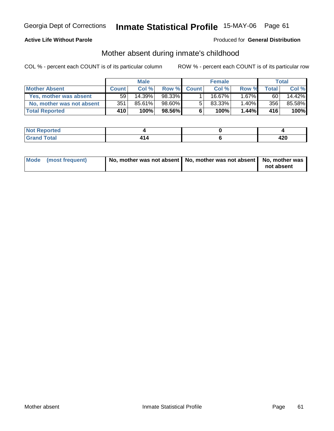### **Active Life Without Parole**

#### Produced for **General Distribution**

# Mother absent during inmate's childhood

|                           | <b>Male</b>  |        |        | <b>Female</b> |           |          | Total        |        |
|---------------------------|--------------|--------|--------|---------------|-----------|----------|--------------|--------|
| <b>Mother Absent</b>      | <b>Count</b> | Col%   | Row %  | <b>Count</b>  | Col %     | Row %    | <b>Total</b> | Col %  |
| Yes, mother was absent    | 59           | 14.39% | 98.33% |               | $16.67\%$ | $1.67\%$ | 60           | 14.42% |
| No, mother was not absent | 351          | 85.61% | 98.60% | 5             | 83.33%    | 1.40%    | 356          | 85.58% |
| <b>Total Reported</b>     | 410'         | 100%   | 98.56% | 6             | 100%      | 1.44%    | 416'         | 100%   |

| د د کې<br>rteo                    |  |            |
|-----------------------------------|--|------------|
| المفمار<br><b>TULAI</b><br>$\sim$ |  | חרי<br>42V |

| Mode (most frequent) | No, mother was not absent   No, mother was not absent   No, mother was |            |
|----------------------|------------------------------------------------------------------------|------------|
|                      |                                                                        | not absent |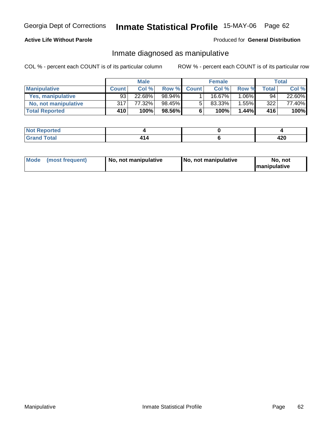### **Active Life Without Parole**

#### Produced for **General Distribution**

### Inmate diagnosed as manipulative

|                          | <b>Male</b>  |        |          | <b>Female</b> |         |          | Total |        |
|--------------------------|--------------|--------|----------|---------------|---------|----------|-------|--------|
| <b>Manipulative</b>      | <b>Count</b> | Col %  | Row %    | <b>Count</b>  | Col %   | Row %    | Total | Col %  |
| <b>Yes, manipulative</b> | 93           | 22.68% | 98.94% ∎ |               | 16.67%। | 1.06%    | 94    | 22.60% |
| No, not manipulative     | 317          | 77.32% | 98.45%   | 5             | 83.33%  | $1.55\%$ | 322   | 77.40% |
| <b>Total Reported</b>    | 410          | 100%   | 98.56%   | 6             | 100%    | $1.44\%$ | 416   | 100%   |

| المتستقين<br>∵NΩ).<br>ortea |  |          |
|-----------------------------|--|----------|
| Total<br>-----              |  | <br>44 Y |

| <b>Mode</b><br>(most frequent)<br>  No. not manipulative | No, not manipulative | No, not<br><b>Imanipulative</b> |
|----------------------------------------------------------|----------------------|---------------------------------|
|----------------------------------------------------------|----------------------|---------------------------------|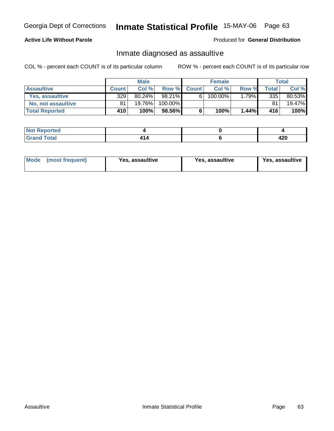### **Active Life Without Parole**

#### Produced for **General Distribution**

### Inmate diagnosed as assaultive

|                       | <b>Male</b>  |           |              | <b>Female</b> |         |       | Total      |           |
|-----------------------|--------------|-----------|--------------|---------------|---------|-------|------------|-----------|
| <b>Assaultive</b>     | <b>Count</b> | Col %     | <b>Row %</b> | <b>Count</b>  | Col %   | Row % | Total      | Col %     |
| Yes, assaultive       | 329          | $80.24\%$ | 98.21%       | 6             | 100.00% | 1.79% | 335        | 80.53%    |
| No, not assaultive    | 81           | 19.76%    | 100.00%      |               |         |       | 81         | $19.47\%$ |
| <b>Total Reported</b> | 410          | 100%      | 98.56%       | 6             | 100%    | 1.44% | <b>416</b> | 100%      |

| <b>Reported</b><br><b>NO</b> |  |           |
|------------------------------|--|-----------|
| <b>Total</b>                 |  | "<br>44 U |

| <b>Mode</b><br>Yes, assaultive<br>(most frequent) | Yes, assaultive | Yes, assaultive |
|---------------------------------------------------|-----------------|-----------------|
|---------------------------------------------------|-----------------|-----------------|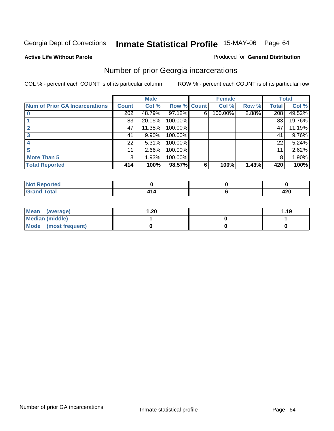#### **Active Life Without Parole**

#### Produced for **General Distribution**

# Number of prior Georgia incarcerations

|                                       |                  | <b>Male</b> |                    |   | <b>Female</b> |       |       | <b>Total</b> |
|---------------------------------------|------------------|-------------|--------------------|---|---------------|-------|-------|--------------|
| <b>Num of Prior GA Incarcerations</b> | <b>Count</b>     | Col %       | <b>Row % Count</b> |   | Col %         | Row % | Total | Col %        |
|                                       | $\overline{202}$ | 48.79%      | 97.12%             | 6 | 100.00%       | 2.88% | 208   | 49.52%       |
|                                       | 83               | 20.05%      | 100.00%            |   |               |       | 83    | 19.76%       |
|                                       | 47               | 11.35%      | 100.00%            |   |               |       | 47    | 11.19%       |
|                                       | 41               | 9.90%       | 100.00%            |   |               |       | 41    | 9.76%        |
|                                       | 22               | 5.31%       | 100.00%            |   |               |       | 22    | 5.24%        |
|                                       | 11               | 2.66%       | 100.00%            |   |               |       | 11    | 2.62%        |
| <b>More Than 5</b>                    | 8                | 1.93%       | 100.00%            |   |               |       | 8     | 1.90%        |
| <b>Total Reported</b>                 | 414              | 100%        | 98.57%             | 6 | 100%          | 1.43% | 420   | 100%         |

| --<br>. |  |             |
|---------|--|-------------|
|         |  | חרו<br>44 U |

| Mean (average)         | 20. ا | 1.19 |
|------------------------|-------|------|
| <b>Median (middle)</b> |       |      |
| Mode (most frequent)   |       |      |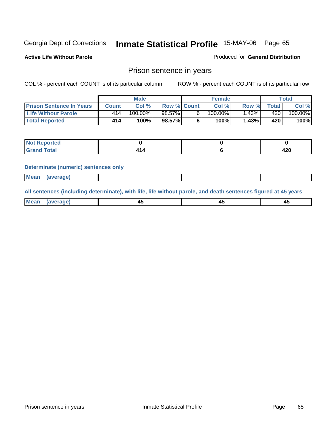**Active Life Without Parole** 

Produced for **General Distribution**

### Prison sentence in years

COL % - percent each COUNT is of its particular column ROW % - percent each COUNT is of its particular row

|                                 |              | <b>Male</b> |                    | <b>Female</b> |       |        | Total                 |
|---------------------------------|--------------|-------------|--------------------|---------------|-------|--------|-----------------------|
| <b>Prison Sentence In Years</b> | <b>Count</b> | Col %       | <b>Row % Count</b> | Col %         | Row % | Total. | Col %                 |
| <b>Life Without Parole</b>      | 414'         | $100.00\%$  | $98.57\%$          | $100.00\%$    | .43%  | 420    | $100.\overline{00\%}$ |
| <b>Total Reported</b>           | 414          | 100%        | 98.57%             | 100%          | 1.43% | 420    | $100\%$               |

| orted<br>N                       |  |            |
|----------------------------------|--|------------|
| <b>cotal</b><br>$\mathbf{v}$ and |  | חרו<br>42Y |

#### **Determinate (numeric) sentences only**

| <b>Mean</b> | (average) |  |  |
|-------------|-----------|--|--|
|             |           |  |  |

**All sentences (including determinate), with life, life without parole, and death sentences figured at 45 years**

| ' Mea<br>апо      | ᠇ᡂ |        | т.     |
|-------------------|----|--------|--------|
| --- <i>--</i> --- | __ | $\sim$ | $\sim$ |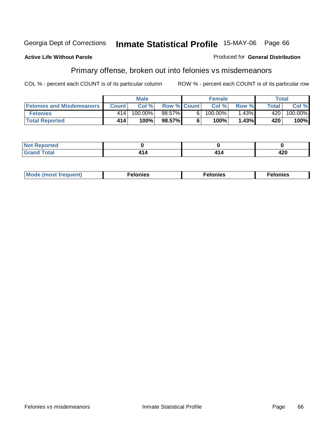#### **Active Life Without Parole**

### Produced for **General Distribution**

# Primary offense, broken out into felonies vs misdemeanors

|                                  |              | <b>Male</b> |                    |    | <b>Female</b> |       | Total        |            |
|----------------------------------|--------------|-------------|--------------------|----|---------------|-------|--------------|------------|
| <b>Felonies and Misdemeanors</b> | <b>Count</b> | Col%        | <b>Row % Count</b> |    | Col%          | Row % | <b>Total</b> | Col %      |
| <b>Felonies</b>                  | 414          | 100.00%     | $98.57\%$          | 6. | $100.00\%$    | .43%  | 420          | $100.00\%$ |
| <b>Total Reported</b>            | 414          | 100%        | 98.57%             |    | 100%          | 1.43% | 420          | 100%       |

| <b>Not Reported</b><br>$\sim$ |  |     |
|-------------------------------|--|-----|
| <b>Total</b><br>Grand         |  | 420 |

| <b>Mo</b><br>requent)<br>onies<br>.<br>____ | nies.<br>חי<br>____ | <b>onies</b><br>. |
|---------------------------------------------|---------------------|-------------------|
|---------------------------------------------|---------------------|-------------------|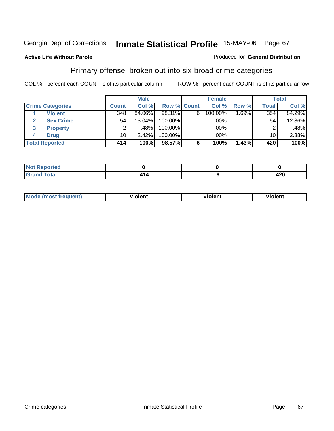#### **Active Life Without Parole**

#### Produced for **General Distribution**

# Primary offense, broken out into six broad crime categories

|   |                         |                 | <b>Male</b> |             |   | <b>Female</b> |          |                 | <b>Total</b> |
|---|-------------------------|-----------------|-------------|-------------|---|---------------|----------|-----------------|--------------|
|   | <b>Crime Categories</b> | <b>Count</b>    | Col %       | Row % Count |   | Col %         | Row %    | <b>Total</b>    | Col %        |
|   | <b>Violent</b>          | 348             | 84.06%      | 98.31%      | 6 | 100.00%       | $1.69\%$ | 354             | 84.29%       |
| 2 | <b>Sex Crime</b>        | 54              | $13.04\%$   | 100.00%     |   | $.00\%$ $ $   |          | 54              | 12.86%       |
| 3 | <b>Property</b>         | 2               | .48%        | 100.00%     |   | .00%          |          | 2               | .48%         |
| 4 | <b>Drug</b>             | 10 <sub>1</sub> | 2.42%       | 100.00%     |   | .00%          |          | 10 <sub>1</sub> | 2.38%        |
|   | <b>Total Reported</b>   | 414             | 100%        | 98.57%      | 6 | 100%          | 1.43%    | 420             | 100%         |

| <b>Not</b><br><b>Exported</b><br>$\mathbf{1}$ |        |             |
|-----------------------------------------------|--------|-------------|
| $f \circ f \circ f$                           | , , ., | ィクハ<br>44 U |

| M <sub>c</sub><br>--------<br>AUAZ | .<br>Violent | วlent | --<br>lent<br>ш<br>____ |
|------------------------------------|--------------|-------|-------------------------|
|                                    |              |       |                         |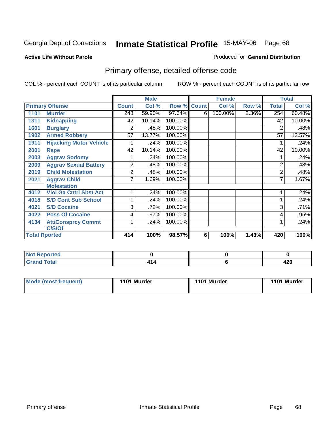#### **Active Life Without Parole**

### Produced for **General Distribution**

# Primary offense, detailed offense code

|      |                                |              | <b>Male</b> |         |              | <b>Female</b> |       |                | <b>Total</b> |
|------|--------------------------------|--------------|-------------|---------|--------------|---------------|-------|----------------|--------------|
|      | <b>Primary Offense</b>         | <b>Count</b> | Col %       | Row %   | <b>Count</b> | Col %         | Row % | Total          | Col %        |
| 1101 | <b>Murder</b>                  | 248          | 59.90%      | 97.64%  | 6            | 100.00%       | 2.36% | 254            | 60.48%       |
| 1311 | <b>Kidnapping</b>              | 42           | 10.14%      | 100.00% |              |               |       | 42             | 10.00%       |
| 1601 | <b>Burglary</b>                | 2            | .48%        | 100.00% |              |               |       | 2              | .48%         |
| 1902 | <b>Armed Robbery</b>           | 57           | 13.77%      | 100.00% |              |               |       | 57             | 13.57%       |
| 1911 | <b>Hijacking Motor Vehicle</b> |              | .24%        | 100.00% |              |               |       |                | .24%         |
| 2001 | <b>Rape</b>                    | 42           | 10.14%      | 100.00% |              |               |       | 42             | 10.00%       |
| 2003 | <b>Aggrav Sodomy</b>           |              | .24%        | 100.00% |              |               |       |                | .24%         |
| 2009 | <b>Aggrav Sexual Battery</b>   | 2            | .48%        | 100.00% |              |               |       | $\overline{2}$ | .48%         |
| 2019 | <b>Child Molestation</b>       | 2            | .48%        | 100.00% |              |               |       | $\overline{2}$ | .48%         |
| 2021 | <b>Aggrav Child</b>            | 7            | 1.69%       | 100.00% |              |               |       | 7              | 1.67%        |
|      | <b>Molestation</b>             |              |             |         |              |               |       |                |              |
| 4012 | <b>Viol Ga Cntrl Sbst Act</b>  |              | .24%        | 100.00% |              |               |       |                | .24%         |
| 4018 | <b>S/D Cont Sub School</b>     |              | .24%        | 100.00% |              |               |       | 1              | .24%         |
| 4021 | <b>S/D Cocaine</b>             | 3            | .72%        | 100.00% |              |               |       | 3              | .71%         |
| 4022 | <b>Poss Of Cocaine</b>         | 4            | .97%        | 100.00% |              |               |       | 4              | .95%         |
| 4134 | <b>Att/Consprcy Commt</b>      |              | .24%        | 100.00% |              |               |       |                | .24%         |
|      | C/S/Of                         |              |             |         |              |               |       |                |              |
|      | <b>Total Rported</b>           | 414          | 100%        | 98.57%  | 6            | 100%          | 1.43% | 420            | 100%         |

| <b>Not</b><br>Reported<br>.                 |  |           |
|---------------------------------------------|--|-----------|
| <b>Total</b><br>l Grand<br>$\mathsf{v}$ and |  | ,<br>42 U |

| <b>Mode (most frequent)</b> | 1101 Murder | 1101 Murder | 1101 Murder |
|-----------------------------|-------------|-------------|-------------|
|-----------------------------|-------------|-------------|-------------|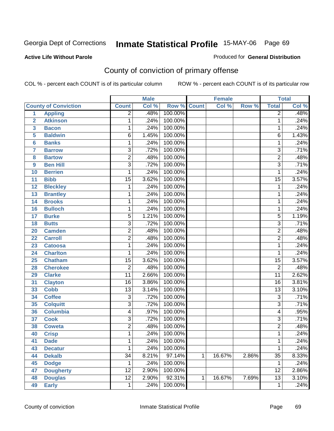Produced for **General Distribution**

#### **Active Life Without Parole**

# County of conviction of primary offense

|                         |                             |                 | <b>Male</b> |         |              | <b>Female</b> |       |                 | <b>Total</b>               |
|-------------------------|-----------------------------|-----------------|-------------|---------|--------------|---------------|-------|-----------------|----------------------------|
|                         | <b>County of Conviction</b> | <b>Count</b>    | Col %       | Row %   | <b>Count</b> | Col %         | Row % | <b>Total</b>    | $\overline{\text{Col }\%}$ |
| 1                       | <b>Appling</b>              | $\overline{2}$  | .48%        | 100.00% |              |               |       | $\overline{2}$  | .48%                       |
| $\overline{2}$          | <b>Atkinson</b>             | 1               | .24%        | 100.00% |              |               |       | $\mathbf 1$     | .24%                       |
| $\overline{\mathbf{3}}$ | <b>Bacon</b>                | 1               | .24%        | 100.00% |              |               |       | 1               | .24%                       |
| 5                       | <b>Baldwin</b>              | 6               | 1.45%       | 100.00% |              |               |       | $\overline{6}$  | 1.43%                      |
| $6\phantom{a}$          | <b>Banks</b>                | 1               | .24%        | 100.00% |              |               |       | 1               | .24%                       |
| $\overline{7}$          | <b>Barrow</b>               | $\overline{3}$  | .72%        | 100.00% |              |               |       | $\overline{3}$  | .71%                       |
| 8                       | <b>Bartow</b>               | $\overline{2}$  | .48%        | 100.00% |              |               |       | $\overline{2}$  | .48%                       |
| 9                       | <b>Ben Hill</b>             | $\overline{3}$  | .72%        | 100.00% |              |               |       | $\overline{3}$  | .71%                       |
| 10                      | <b>Berrien</b>              | 1               | .24%        | 100.00% |              |               |       | $\mathbf{1}$    | .24%                       |
| 11                      | <b>Bibb</b>                 | $\overline{15}$ | 3.62%       | 100.00% |              |               |       | $\overline{15}$ | 3.57%                      |
| 12                      | <b>Bleckley</b>             | 1               | .24%        | 100.00% |              |               |       | $\mathbf 1$     | .24%                       |
| 13                      | <b>Brantley</b>             | 1               | .24%        | 100.00% |              |               |       | 1               | .24%                       |
| 14                      | <b>Brooks</b>               | 1               | .24%        | 100.00% |              |               |       | 1               | .24%                       |
| 16                      | <b>Bulloch</b>              | 1               | .24%        | 100.00% |              |               |       | 1               | .24%                       |
| 17                      | <b>Burke</b>                | 5               | 1.21%       | 100.00% |              |               |       | $\overline{5}$  | 1.19%                      |
| 18                      | <b>Butts</b>                | $\overline{3}$  | .72%        | 100.00% |              |               |       | $\overline{3}$  | .71%                       |
| 20                      | <b>Camden</b>               | $\overline{2}$  | .48%        | 100.00% |              |               |       | $\overline{2}$  | .48%                       |
| 22                      | <b>Carroll</b>              | $\overline{2}$  | .48%        | 100.00% |              |               |       | $\overline{c}$  | .48%                       |
| 23                      | <b>Catoosa</b>              | 1               | .24%        | 100.00% |              |               |       | 1               | .24%                       |
| 24                      | <b>Charlton</b>             | 1               | .24%        | 100.00% |              |               |       | $\mathbf{1}$    | .24%                       |
| 25                      | <b>Chatham</b>              | $\overline{15}$ | 3.62%       | 100.00% |              |               |       | $\overline{15}$ | 3.57%                      |
| 28                      | <b>Cherokee</b>             | $\overline{2}$  | .48%        | 100.00% |              |               |       | $\overline{2}$  | .48%                       |
| 29                      | <b>Clarke</b>               | $\overline{11}$ | 2.66%       | 100.00% |              |               |       | $\overline{11}$ | 2.62%                      |
| 31                      | <b>Clayton</b>              | $\overline{16}$ | 3.86%       | 100.00% |              |               |       | $\overline{16}$ | 3.81%                      |
| 33                      | <b>Cobb</b>                 | $\overline{13}$ | 3.14%       | 100.00% |              |               |       | $\overline{13}$ | 3.10%                      |
| 34                      | <b>Coffee</b>               | $\overline{3}$  | .72%        | 100.00% |              |               |       | 3               | .71%                       |
| 35                      | <b>Colquitt</b>             | $\overline{3}$  | .72%        | 100.00% |              |               |       | $\overline{3}$  | .71%                       |
| 36                      | <b>Columbia</b>             | 4               | .97%        | 100.00% |              |               |       | $\overline{4}$  | .95%                       |
| 37                      | <b>Cook</b>                 | $\overline{3}$  | .72%        | 100.00% |              |               |       | $\overline{3}$  | .71%                       |
| 38                      | <b>Coweta</b>               | $\overline{2}$  | .48%        | 100.00% |              |               |       | $\overline{2}$  | .48%                       |
| 40                      | <b>Crisp</b>                | 1               | .24%        | 100.00% |              |               |       | 1               | .24%                       |
| 41                      | <b>Dade</b>                 | 1               | .24%        | 100.00% |              |               |       | 1               | .24%                       |
| 43                      | <b>Decatur</b>              | 1               | .24%        | 100.00% |              |               |       | $\mathbf{1}$    | .24%                       |
| 44                      | <b>Dekalb</b>               | $\overline{34}$ | 8.21%       | 97.14%  | $\mathbf{1}$ | 16.67%        | 2.86% | $\overline{35}$ | 8.33%                      |
| 45                      | <b>Dodge</b>                | 1               | .24%        | 100.00% |              |               |       | 1               | .24%                       |
| 47                      | <b>Dougherty</b>            | $\overline{12}$ | 2.90%       | 100.00% |              |               |       | $\overline{12}$ | 2.86%                      |
| 48                      | <b>Douglas</b>              | $\overline{12}$ | 2.90%       | 92.31%  | 1            | 16.67%        | 7.69% | $\overline{13}$ | 3.10%                      |
| 49                      | <b>Early</b>                | 1               | .24%        | 100.00% |              |               |       | 1               | .24%                       |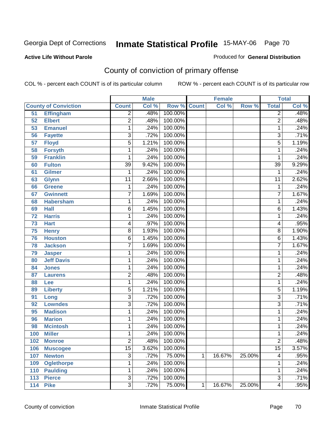**Active Life Without Parole** 

Produced for **General Distribution**

# County of conviction of primary offense

|                 |                             |                 | <b>Male</b> |         |              | <b>Female</b> |        |                         | <b>Total</b> |
|-----------------|-----------------------------|-----------------|-------------|---------|--------------|---------------|--------|-------------------------|--------------|
|                 | <b>County of Conviction</b> | <b>Count</b>    | Col %       | Row %   | <b>Count</b> | Col %         | Row %  | <b>Total</b>            | CoI%         |
| 51              | <b>Effingham</b>            | $\overline{2}$  | .48%        | 100.00% |              |               |        | $\overline{2}$          | .48%         |
| $\overline{52}$ | <b>Elbert</b>               | $\overline{2}$  | .48%        | 100.00% |              |               |        | $\overline{2}$          | .48%         |
| 53              | <b>Emanuel</b>              | 1               | .24%        | 100.00% |              |               |        | 1                       | .24%         |
| 56              | <b>Fayette</b>              | $\overline{3}$  | .72%        | 100.00% |              |               |        | $\overline{3}$          | .71%         |
| 57              | <b>Floyd</b>                | $\overline{5}$  | 1.21%       | 100.00% |              |               |        | $\overline{5}$          | 1.19%        |
| 58              | <b>Forsyth</b>              | 1               | .24%        | 100.00% |              |               |        | 1                       | .24%         |
| 59              | <b>Franklin</b>             | 1               | .24%        | 100.00% |              |               |        | 1                       | .24%         |
| 60              | <b>Fulton</b>               | $\overline{39}$ | 9.42%       | 100.00% |              |               |        | $\overline{39}$         | 9.29%        |
| 61              | <b>Gilmer</b>               | 1               | .24%        | 100.00% |              |               |        | $\mathbf{1}$            | .24%         |
| 63              | <b>Glynn</b>                | $\overline{11}$ | 2.66%       | 100.00% |              |               |        | $\overline{11}$         | 2.62%        |
| 66              | <b>Greene</b>               | 1               | .24%        | 100.00% |              |               |        | 1                       | .24%         |
| 67              | <b>Gwinnett</b>             | $\overline{7}$  | 1.69%       | 100.00% |              |               |        | $\overline{7}$          | 1.67%        |
| 68              | <b>Habersham</b>            | 1               | .24%        | 100.00% |              |               |        | 1                       | .24%         |
| 69              | <b>Hall</b>                 | 6               | 1.45%       | 100.00% |              |               |        | $\overline{6}$          | 1.43%        |
| 72              | <b>Harris</b>               | 1               | .24%        | 100.00% |              |               |        | 1                       | .24%         |
| 73              | <b>Hart</b>                 | 4               | .97%        | 100.00% |              |               |        | 4                       | .95%         |
| $\overline{75}$ | <b>Henry</b>                | $\overline{8}$  | 1.93%       | 100.00% |              |               |        | $\overline{8}$          | 1.90%        |
| 76              | <b>Houston</b>              | 6               | 1.45%       | 100.00% |              |               |        | $\overline{6}$          | 1.43%        |
| 78              | <b>Jackson</b>              | $\overline{7}$  | 1.69%       | 100.00% |              |               |        | $\overline{7}$          | 1.67%        |
| 79              | <b>Jasper</b>               | 1               | .24%        | 100.00% |              |               |        | 1                       | .24%         |
| 80              | <b>Jeff Davis</b>           | 1               | .24%        | 100.00% |              |               |        | 1                       | .24%         |
| 84              | <b>Jones</b>                | 1               | .24%        | 100.00% |              |               |        | 1                       | .24%         |
| 87              | <b>Laurens</b>              | $\overline{2}$  | .48%        | 100.00% |              |               |        | $\overline{2}$          | .48%         |
| 88              | Lee                         | 1               | .24%        | 100.00% |              |               |        | $\mathbf{1}$            | .24%         |
| 89              | <b>Liberty</b>              | 5               | 1.21%       | 100.00% |              |               |        | 5                       | 1.19%        |
| 91              | Long                        | $\overline{3}$  | .72%        | 100.00% |              |               |        | $\overline{3}$          | .71%         |
| 92              | <b>Lowndes</b>              | $\overline{3}$  | .72%        | 100.00% |              |               |        | $\overline{3}$          | .71%         |
| 95              | <b>Madison</b>              | 1               | .24%        | 100.00% |              |               |        | 1                       | .24%         |
| 96              | <b>Marion</b>               | 1               | .24%        | 100.00% |              |               |        | 1                       | .24%         |
| 98              | <b>Mcintosh</b>             | 1               | .24%        | 100.00% |              |               |        | 1                       | .24%         |
| 100             | <b>Miller</b>               | 1               | .24%        | 100.00% |              |               |        | 1                       | .24%         |
| 102             | <b>Monroe</b>               | 2               | .48%        | 100.00% |              |               |        | 2                       | .48%         |
| 106             | <b>Muscogee</b>             | $\overline{15}$ | 3.62%       | 100.00% |              |               |        | $\overline{15}$         | 3.57%        |
| 107             | <b>Newton</b>               | $\overline{3}$  | .72%        | 75.00%  | $\mathbf{1}$ | 16.67%        | 25.00% | $\overline{\mathbf{4}}$ | .95%         |
| 109             | <b>Oglethorpe</b>           | 1               | .24%        | 100.00% |              |               |        | 1                       | .24%         |
| 110             | <b>Paulding</b>             | 1               | .24%        | 100.00% |              |               |        | 1                       | .24%         |
| 113             | <b>Pierce</b>               | $\overline{3}$  | .72%        | 100.00% |              |               |        | $\overline{3}$          | .71%         |
| 114             | <b>Pike</b>                 | $\overline{3}$  | .72%        | 75.00%  | $\mathbf{1}$ | 16.67%        | 25.00% | $\overline{4}$          | .95%         |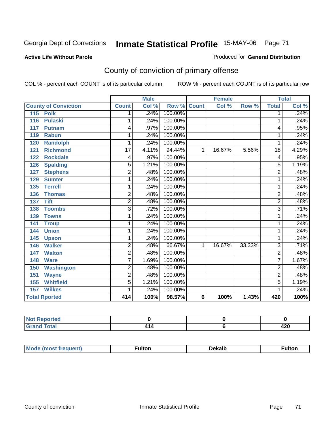#### **Active Life Without Parole**

#### Produced for **General Distribution**

# County of conviction of primary offense

|                             |                | <b>Male</b> |         |              | <b>Female</b> |        | <b>Total</b>     |       |
|-----------------------------|----------------|-------------|---------|--------------|---------------|--------|------------------|-------|
| <b>County of Conviction</b> | <b>Count</b>   | Col %       | Row %   | <b>Count</b> | Col %         | Row %  | <b>Total</b>     | Col % |
| 115<br><b>Polk</b>          | 1              | .24%        | 100.00% |              |               |        | 1                | .24%  |
| 116<br><b>Pulaski</b>       | 1              | .24%        | 100.00% |              |               |        | 1                | .24%  |
| 117<br><b>Putnam</b>        | 4              | .97%        | 100.00% |              |               |        | 4                | .95%  |
| 119<br><b>Rabun</b>         | 1              | .24%        | 100.00% |              |               |        | 1                | .24%  |
| <b>Randolph</b><br>120      | 1              | .24%        | 100.00% |              |               |        | 1                | .24%  |
| <b>Richmond</b><br>121      | 17             | 4.11%       | 94.44%  | $\mathbf 1$  | 16.67%        | 5.56%  | $\overline{18}$  | 4.29% |
| <b>Rockdale</b><br>122      | 4              | .97%        | 100.00% |              |               |        | 4                | .95%  |
| <b>Spalding</b><br>126      | 5              | 1.21%       | 100.00% |              |               |        | 5                | 1.19% |
| 127<br><b>Stephens</b>      | $\overline{2}$ | .48%        | 100.00% |              |               |        | $\overline{2}$   | .48%  |
| <b>Sumter</b><br>129        | 1              | .24%        | 100.00% |              |               |        | 1                | .24%  |
| <b>Terrell</b><br>135       | 1              | .24%        | 100.00% |              |               |        | 1                | .24%  |
| <b>Thomas</b><br>136        | $\overline{2}$ | .48%        | 100.00% |              |               |        | $\overline{2}$   | .48%  |
| <b>Tift</b><br>137          | $\overline{2}$ | .48%        | 100.00% |              |               |        | $\overline{2}$   | .48%  |
| <b>Toombs</b><br>138        | 3              | .72%        | 100.00% |              |               |        | 3                | .71%  |
| 139<br><b>Towns</b>         | 1              | .24%        | 100.00% |              |               |        | 1                | .24%  |
| 141<br><b>Troup</b>         | 1              | .24%        | 100.00% |              |               |        | 1                | .24%  |
| <b>Union</b><br>144         | 1              | .24%        | 100.00% |              |               |        | 1                | .24%  |
| 145<br><b>Upson</b>         | 1              | .24%        | 100.00% |              |               |        | 1                | .24%  |
| <b>Walker</b><br>146        | $\overline{2}$ | .48%        | 66.67%  | $\mathbf 1$  | 16.67%        | 33.33% | $\overline{3}$   | .71%  |
| <b>Walton</b><br>147        | 2              | .48%        | 100.00% |              |               |        | $\overline{2}$   | .48%  |
| 148<br><b>Ware</b>          | 7              | 1.69%       | 100.00% |              |               |        | 7                | 1.67% |
| <b>Washington</b><br>150    | $\overline{2}$ | .48%        | 100.00% |              |               |        | $\overline{2}$   | .48%  |
| 151<br><b>Wayne</b>         | $\overline{2}$ | .48%        | 100.00% |              |               |        | $\overline{2}$   | .48%  |
| <b>Whitfield</b><br>155     | $\overline{5}$ | 1.21%       | 100.00% |              |               |        | $\overline{5}$   | 1.19% |
| <b>Wilkes</b><br>157        | 1              | .24%        | 100.00% |              |               |        | 1                | .24%  |
| <b>Total Rported</b>        | 414            | 100%        | 98.57%  | 6            | 100%          | 1.43%  | $\overline{420}$ | 100%  |

| orted<br>NO. |      |             |
|--------------|------|-------------|
| <b>Total</b> | , 14 | Ann<br>44 U |

| M<br>nuent.<br> | <b>A</b> ditori | Dekalb | .<br>unon |
|-----------------|-----------------|--------|-----------|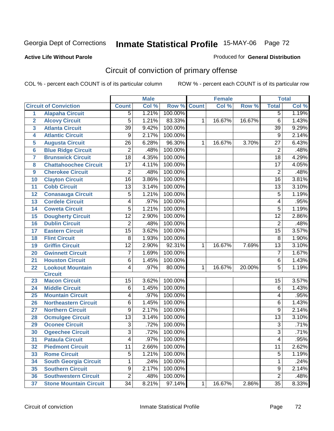#### **Active Life Without Parole**

#### Produced for **General Distribution**

# Circuit of conviction of primary offense

|                         |                               |                 | <b>Male</b> |         |              | Female |        |                 | <b>Total</b> |
|-------------------------|-------------------------------|-----------------|-------------|---------|--------------|--------|--------|-----------------|--------------|
|                         | <b>Circuit of Conviction</b>  | <b>Count</b>    | Col %       | Row %   | <b>Count</b> | Col %  | Row %  | <b>Total</b>    | Col %        |
| 1                       | <b>Alapaha Circuit</b>        | 5               | 1.21%       | 100.00% |              |        |        | 5               | 1.19%        |
| $\overline{2}$          | <b>Alcovy Circuit</b>         | 5               | 1.21%       | 83.33%  | $\mathbf{1}$ | 16.67% | 16.67% | $\overline{6}$  | 1.43%        |
| $\overline{\mathbf{3}}$ | <b>Atlanta Circuit</b>        | $\overline{39}$ | 9.42%       | 100.00% |              |        |        | $\overline{39}$ | 9.29%        |
| 4                       | <b>Atlantic Circuit</b>       | 9               | 2.17%       | 100.00% |              |        |        | $\overline{9}$  | 2.14%        |
| 5                       | <b>Augusta Circuit</b>        | $\overline{26}$ | 6.28%       | 96.30%  | 1            | 16.67% | 3.70%  | $\overline{27}$ | 6.43%        |
| $6\phantom{a}6$         | <b>Blue Ridge Circuit</b>     | $\overline{2}$  | .48%        | 100.00% |              |        |        | $\overline{2}$  | .48%         |
| 7                       | <b>Brunswick Circuit</b>      | $\overline{18}$ | 4.35%       | 100.00% |              |        |        | $\overline{18}$ | 4.29%        |
| 8                       | <b>Chattahoochee Circuit</b>  | $\overline{17}$ | 4.11%       | 100.00% |              |        |        | $\overline{17}$ | 4.05%        |
| 9                       | <b>Cherokee Circuit</b>       | $\overline{2}$  | .48%        | 100.00% |              |        |        | $\overline{2}$  | .48%         |
| 10                      | <b>Clayton Circuit</b>        | $\overline{16}$ | 3.86%       | 100.00% |              |        |        | $\overline{16}$ | 3.81%        |
| 11                      | <b>Cobb Circuit</b>           | 13              | 3.14%       | 100.00% |              |        |        | 13              | 3.10%        |
| 12                      | <b>Conasauga Circuit</b>      | 5               | 1.21%       | 100.00% |              |        |        | 5               | 1.19%        |
| 13                      | <b>Cordele Circuit</b>        | 4               | .97%        | 100.00% |              |        |        | 4               | .95%         |
| 14                      | <b>Coweta Circuit</b>         | $\overline{5}$  | 1.21%       | 100.00% |              |        |        | $\overline{5}$  | 1.19%        |
| 15                      | <b>Dougherty Circuit</b>      | $\overline{12}$ | 2.90%       | 100.00% |              |        |        | $\overline{12}$ | 2.86%        |
| 16                      | <b>Dublin Circuit</b>         | $\overline{2}$  | .48%        | 100.00% |              |        |        | $\overline{2}$  | .48%         |
| 17                      | <b>Eastern Circuit</b>        | $\overline{15}$ | 3.62%       | 100.00% |              |        |        | 15              | 3.57%        |
| 18                      | <b>Flint Circuit</b>          | 8               | 1.93%       | 100.00% |              |        |        | 8               | 1.90%        |
| 19                      | <b>Griffin Circuit</b>        | $\overline{12}$ | 2.90%       | 92.31%  | 1            | 16.67% | 7.69%  | $\overline{13}$ | 3.10%        |
| 20                      | <b>Gwinnett Circuit</b>       | $\overline{7}$  | 1.69%       | 100.00% |              |        |        | $\overline{7}$  | 1.67%        |
| 21                      | <b>Houston Circuit</b>        | 6               | 1.45%       | 100.00% |              |        |        | $\overline{6}$  | 1.43%        |
| 22                      | <b>Lookout Mountain</b>       | 4               | .97%        | 80.00%  | $\mathbf{1}$ | 16.67% | 20.00% | $\overline{5}$  | 1.19%        |
|                         | <b>Circuit</b>                |                 |             |         |              |        |        |                 |              |
| 23                      | <b>Macon Circuit</b>          | 15              | 3.62%       | 100.00% |              |        |        | 15              | 3.57%        |
| 24                      | <b>Middle Circuit</b>         | $\overline{6}$  | 1.45%       | 100.00% |              |        |        | $\overline{6}$  | 1.43%        |
| 25                      | <b>Mountain Circuit</b>       | 4               | .97%        | 100.00% |              |        |        | 4               | .95%         |
| 26                      | <b>Northeastern Circuit</b>   | 6               | 1.45%       | 100.00% |              |        |        | 6               | 1.43%        |
| 27                      | <b>Northern Circuit</b>       | 9               | 2.17%       | 100.00% |              |        |        | 9               | 2.14%        |
| 28                      | <b>Ocmulgee Circuit</b>       | $\overline{13}$ | 3.14%       | 100.00% |              |        |        | $\overline{13}$ | 3.10%        |
| 29                      | <b>Oconee Circuit</b>         | $\overline{3}$  | .72%        | 100.00% |              |        |        | $\overline{3}$  | .71%         |
| 30                      | <b>Ogeechee Circuit</b>       | $\overline{3}$  | .72%        | 100.00% |              |        |        | $\overline{3}$  | .71%         |
| $\overline{31}$         | <b>Pataula Circuit</b>        | $\overline{4}$  | .97%        | 100.00% |              |        |        | $\overline{4}$  | .95%         |
| 32                      | <b>Piedmont Circuit</b>       | 11              | 2.66%       | 100.00% |              |        |        | $\overline{11}$ | 2.62%        |
| 33                      | <b>Rome Circuit</b>           | 5               | 1.21%       | 100.00% |              |        |        | 5               | 1.19%        |
| 34                      | <b>South Georgia Circuit</b>  | 1               | .24%        | 100.00% |              |        |        | $\mathbf{1}$    | .24%         |
| 35                      | <b>Southern Circuit</b>       | $\overline{9}$  | 2.17%       | 100.00% |              |        |        | $\overline{9}$  | 2.14%        |
| 36                      | <b>Southwestern Circuit</b>   | $\overline{2}$  | .48%        | 100.00% |              |        |        | $\overline{2}$  | .48%         |
| 37                      | <b>Stone Mountain Circuit</b> | $\overline{34}$ | 8.21%       | 97.14%  | $\mathbf{1}$ | 16.67% | 2.86%  | $\overline{35}$ | 8.33%        |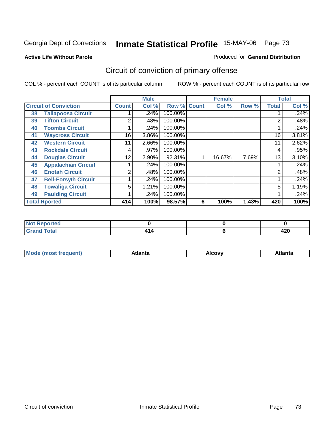**Active Life Without Parole** 

#### Produced for **General Distribution**

# Circuit of conviction of primary offense

|    |                              |                | <b>Male</b> |                    |   | <b>Female</b> |       |              | <b>Total</b> |
|----|------------------------------|----------------|-------------|--------------------|---|---------------|-------|--------------|--------------|
|    | <b>Circuit of Conviction</b> | <b>Count</b>   | Col %       | <b>Row % Count</b> |   | Col %         | Row % | <b>Total</b> | Col %        |
| 38 | <b>Tallapoosa Circuit</b>    |                | .24%        | 100.00%            |   |               |       |              | .24%         |
| 39 | <b>Tifton Circuit</b>        | 2              | .48%        | 100.00%            |   |               |       | 2            | .48%         |
| 40 | <b>Toombs Circuit</b>        |                | .24%        | 100.00%            |   |               |       |              | .24%         |
| 41 | <b>Waycross Circuit</b>      | 16             | 3.86%       | 100.00%            |   |               |       | 16           | 3.81%        |
| 42 | <b>Western Circuit</b>       | 11             | 2.66%       | 100.00%            |   |               |       | 11           | 2.62%        |
| 43 | <b>Rockdale Circuit</b>      | 4              | .97%        | 100.00%            |   |               |       | 4            | .95%         |
| 44 | <b>Douglas Circuit</b>       | 12             | $2.90\%$    | 92.31%             |   | 16.67%        | 7.69% | 13           | 3.10%        |
| 45 | <b>Appalachian Circuit</b>   |                | .24%        | 100.00%            |   |               |       |              | .24%         |
| 46 | <b>Enotah Circuit</b>        | $\overline{2}$ | .48%        | 100.00%            |   |               |       | 2            | .48%         |
| 47 | <b>Bell-Forsyth Circuit</b>  |                | .24%        | 100.00%            |   |               |       |              | .24%         |
| 48 | <b>Towaliga Circuit</b>      | 5              | 1.21%       | 100.00%            |   |               |       | 5            | 1.19%        |
| 49 | <b>Paulding Circuit</b>      |                | .24%        | 100.00%            |   |               |       | 4            | .24%         |
|    | <b>Total Rported</b>         | 414            | 100%        | 98.57%             | 6 | 100%          | 1.43% | 420          | 100%         |

| <b>NOT Reported</b>    |  |      |
|------------------------|--|------|
| $f \wedge f \wedge f'$ |  | . הו |
| <b>Utal</b>            |  | 44 U |

| М<br>. | Atlanta | `ow,<br>$ -$ | Atlanta |
|--------|---------|--------------|---------|
|        |         |              |         |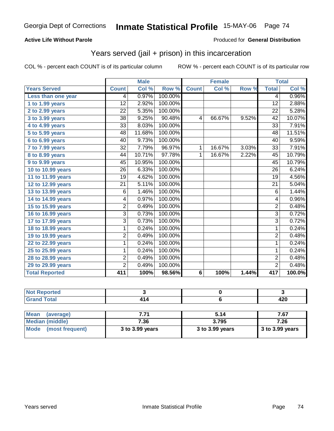### **Active Life Without Parole**

#### Produced for **General Distribution**

# Years served (jail + prison) in this incarceration

|                       | <b>Male</b>     |        | <b>Female</b> |                 |                     | <b>Total</b> |                 |        |
|-----------------------|-----------------|--------|---------------|-----------------|---------------------|--------------|-----------------|--------|
| <b>Years Served</b>   | <b>Count</b>    | Col %  | Row %         | <b>Count</b>    | $\overline{C}$ ol % | Row %        | <b>Total</b>    | Col %  |
| Less than one year    | 4               | 0.97%  | 100.00%       |                 |                     |              | 4               | 0.96%  |
| 1 to 1.99 years       | $\overline{12}$ | 2.92%  | 100.00%       |                 |                     |              | $\overline{12}$ | 2.88%  |
| 2 to 2.99 years       | $\overline{22}$ | 5.35%  | 100.00%       |                 |                     |              | $\overline{22}$ | 5.28%  |
| 3 to 3.99 years       | $\overline{38}$ | 9.25%  | 90.48%        | 4               | 66.67%              | 9.52%        | 42              | 10.07% |
| 4 to 4.99 years       | 33              | 8.03%  | 100.00%       |                 |                     |              | 33              | 7.91%  |
| 5 to 5.99 years       | 48              | 11.68% | 100.00%       |                 |                     |              | 48              | 11.51% |
| 6 to 6.99 years       | 40              | 9.73%  | 100.00%       |                 |                     |              | 40              | 9.59%  |
| 7 to 7.99 years       | $\overline{32}$ | 7.79%  | 96.97%        | 1               | 16.67%              | 3.03%        | 33              | 7.91%  |
| 8 to 8.99 years       | 44              | 10.71% | 97.78%        | 1               | 16.67%              | 2.22%        | 45              | 10.79% |
| 9 to 9.99 years       | 45              | 10.95% | 100.00%       |                 |                     |              | 45              | 10.79% |
| 10 to 10.99 years     | 26              | 6.33%  | 100.00%       |                 |                     |              | 26              | 6.24%  |
| 11 to 11.99 years     | 19              | 4.62%  | 100.00%       |                 |                     |              | 19              | 4.56%  |
| 12 to 12.99 years     | $\overline{21}$ | 5.11%  | 100.00%       |                 |                     |              | $\overline{21}$ | 5.04%  |
| 13 to 13.99 years     | 6               | 1.46%  | 100.00%       |                 |                     |              | 6               | 1.44%  |
| 14 to 14.99 years     | 4               | 0.97%  | 100.00%       |                 |                     |              | 4               | 0.96%  |
| 15 to 15.99 years     | 2               | 0.49%  | 100.00%       |                 |                     |              | $\overline{2}$  | 0.48%  |
| 16 to 16.99 years     | 3               | 0.73%  | 100.00%       |                 |                     |              | $\overline{3}$  | 0.72%  |
| 17 to 17.99 years     | $\overline{3}$  | 0.73%  | 100.00%       |                 |                     |              | $\overline{3}$  | 0.72%  |
| 18 to 18.99 years     | 1               | 0.24%  | 100.00%       |                 |                     |              | 1               | 0.24%  |
| 19 to 19.99 years     | 2               | 0.49%  | 100.00%       |                 |                     |              | $\overline{2}$  | 0.48%  |
| 22 to 22.99 years     | 1               | 0.24%  | 100.00%       |                 |                     |              | 1               | 0.24%  |
| 25 to 25.99 years     | 1               | 0.24%  | 100.00%       |                 |                     |              | 1               | 0.24%  |
| 28 to 28.99 years     | 2               | 0.49%  | 100.00%       |                 |                     |              | $\overline{2}$  | 0.48%  |
| 29 to 29.99 years     | $\overline{2}$  | 0.49%  | 100.00%       |                 |                     |              | $\overline{2}$  | 0.48%  |
| <b>Total Reported</b> | 411             | 100%   | 98.56%        | $6\phantom{1}6$ | 100%                | 1.44%        | 417             | 100.0% |

| المتحدقات المتحدث<br>тес. |     |             |
|---------------------------|-----|-------------|
| <b>Total</b>              | . . | 000<br>44 Y |

| <b>Mean</b><br>(average)       | 7.71            | 5.14            | 7.67              |
|--------------------------------|-----------------|-----------------|-------------------|
| Median (middle)                | 7.36            | 3.795           | 7.26              |
| <b>Mode</b><br>(most frequent) | 3 to 3.99 years | 3 to 3.99 years | $3$ to 3.99 years |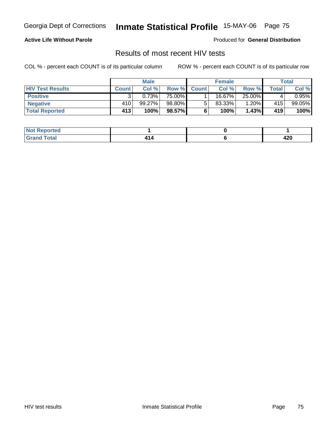#### **Active Life Without Parole**

Produced for **General Distribution**

### Results of most recent HIV tests

|                         | <b>Male</b>  |        | <b>Female</b> |                |        | Total  |       |             |
|-------------------------|--------------|--------|---------------|----------------|--------|--------|-------|-------------|
| <b>HIV Test Results</b> | <b>Count</b> | Col %  | Row %         | <b>Count</b> I | Col %  | Row %  | Total | Col %       |
| <b>Positive</b>         |              | 0.73%  | 75.00%        |                | 16.67% | 25.00% |       | $0.95\%$    |
| <b>Negative</b>         | 410          | 99.27% | 98.80%        |                | 83.33% | 1.20%  | 415   | $99.05\%$   |
| <b>Total Reported</b>   | 413          | 100%   | 98.57%        |                | 100%   | 1.43%  | 419   | <b>100%</b> |

| Reported<br>I NOT                    |  |               |
|--------------------------------------|--|---------------|
| <b>cotal</b><br>. Gro<br>$\sim$ 0000 |  | A O O<br>44 U |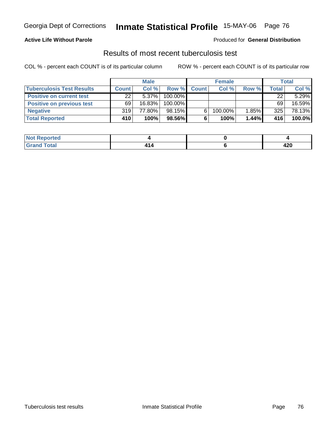## **Active Life Without Parole**

### Produced for **General Distribution**

## Results of most recent tuberculosis test

|                                  |              | <b>Male</b> |         |              | <b>Female</b> |       |        | Total  |
|----------------------------------|--------------|-------------|---------|--------------|---------------|-------|--------|--------|
| <b>Tuberculosis Test Results</b> | <b>Count</b> | Col%        | Row %   | <b>Count</b> | Col %         | Row % | Total, | Col %  |
| <b>Positive on current test</b>  | 22           | $5.37\%$    | 100.00% |              |               |       | 22     | 5.29%  |
| <b>Positive on previous test</b> | 69           | $16.83\%$   | 100.00% |              |               |       | 69     | 16.59% |
| <b>Negative</b>                  | 319          | 77.80%      | 98.15%  |              | 100.00%       | 1.85% | 325    | 78.13% |
| <b>Total Reported</b>            | 410          | 100%        | 98.56%I |              | 100%          | 1.44% | 416    | 100.0% |

| Reported<br><b>NOT</b> |   |      |
|------------------------|---|------|
| <b>Cotal</b>           | - | 100  |
| _____                  |   | 44 U |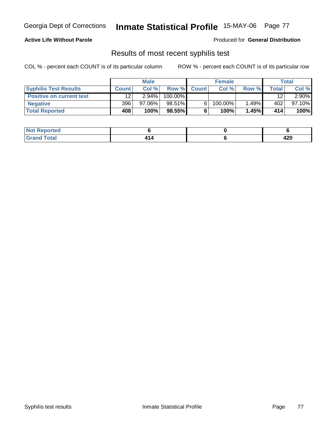### **Active Life Without Parole**

### Produced for **General Distribution**

## Results of most recent syphilis test

|                                 |                 | <b>Male</b> |         |             | <b>Female</b> |          |              | Total    |
|---------------------------------|-----------------|-------------|---------|-------------|---------------|----------|--------------|----------|
| <b>Syphilis Test Results</b>    | <b>Count</b>    | Col %       |         | Row % Count | Col %         | Row %    | <b>Total</b> | Col %    |
| <b>Positive on current test</b> | 12 <sup>°</sup> | $2.94\%$    | 100.00% |             |               |          | 12           | $2.90\%$ |
| <b>Negative</b>                 | 396             | $97.06\%$   | 98.51%  |             | $100.00\%$    | $1.49\%$ | 402          | 97.10%   |
| <b>Total Reported</b>           | 408             | 100%        | 98.55%  |             | 100%          | 1.45%    | 414          | 100%     |

| <b>Not Reported</b> |  |          |
|---------------------|--|----------|
| <b>Total</b>        |  | <br>44 Y |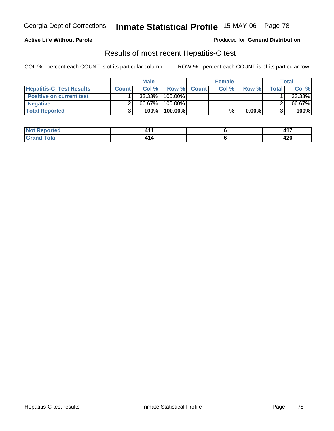## **Active Life Without Parole**

Produced for **General Distribution**

## Results of most recent Hepatitis-C test

|                                 |              | <b>Male</b> |         |             | <b>Female</b> |          |       | Total  |
|---------------------------------|--------------|-------------|---------|-------------|---------------|----------|-------|--------|
| <b>Hepatitis-C Test Results</b> | <b>Count</b> | Col%        |         | Row % Count | Col%          | Row %    | Total | Col %  |
| Positive on current test        |              | $33.33\%$   | 100.00% |             |               |          |       | 33.33% |
| <b>Negative</b>                 |              | 66.67%      | 100.00% |             |               |          |       | 66.67% |
| <b>Total Reported</b>           |              | 100%        | 100.00% |             | %             | $0.00\%$ |       | 100%   |

| ported                     | . . | $\rightarrow$ |
|----------------------------|-----|---------------|
| NOT.                       |     | $  -$         |
| <b>ota</b><br>. Gr<br>____ |     | חרו<br>44V    |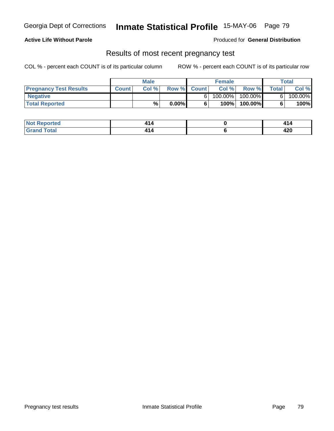## **Active Life Without Parole**

Produced for **General Distribution**

## Results of most recent pregnancy test

|                               |              | <b>Male</b> |          |             | <b>Female</b> |            |              | Total   |
|-------------------------------|--------------|-------------|----------|-------------|---------------|------------|--------------|---------|
| <b>Pregnancy Test Results</b> | <b>Count</b> | Col %       |          | Row % Count | Col %         | Row %      | <b>Total</b> | Col %   |
| <b>Negative</b>               |              |             |          |             | $100.00\%$    | $100.00\%$ |              | 100.00% |
| <b>Total Reported</b>         |              | %           | $0.00\%$ |             | 100%          | 100.00%    |              | 100%    |

| orted            |    |      |
|------------------|----|------|
| int <sub>0</sub> | 14 | ,    |
| .                |    | 44 U |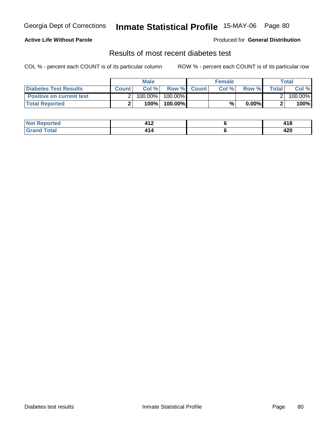## **Active Life Without Parole**

### Produced for **General Distribution**

## Results of most recent diabetes test

|                                 |              | <b>Male</b> |         |             | <b>Female</b> |          |              | Total   |
|---------------------------------|--------------|-------------|---------|-------------|---------------|----------|--------------|---------|
| Diabetes Test Results           | <b>Count</b> | Col %       |         | Row % Count | Col %         | Row %    | <b>Total</b> | Col %   |
| <b>Positive on current test</b> |              | $100.00\%$  | 100.00% |             |               |          |              | 100.00% |
| <b>Total Reported</b>           |              | 100%        | 100.00% |             | %             | $0.00\%$ |              | 100%    |

| ported             | 149   | <i><b>AAC</b></i> |
|--------------------|-------|-------------------|
| <b>NOT</b>         | – I – | 11 D              |
| <b>c</b> otal<br>. | T 1 T | חרו<br>44 U       |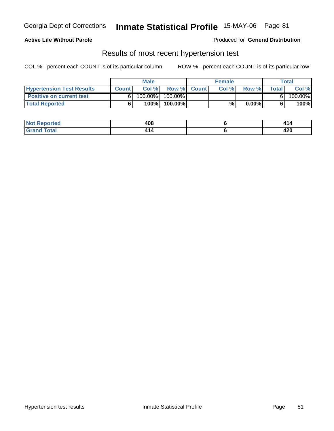## **Active Life Without Parole**

Produced for **General Distribution**

## Results of most recent hypertension test

|                                  |              | <b>Male</b> |           |             | <b>Female</b> |          |       | Total   |
|----------------------------------|--------------|-------------|-----------|-------------|---------------|----------|-------|---------|
| <b>Hypertension Test Results</b> | <b>Count</b> | Col %       |           | Row % Count | Col%          | Row %    | Total | Col %   |
| <b>Positive on current test</b>  |              | $100.00\%$  | 100.00% I |             |               |          |       | 100.00% |
| <b>Total Reported</b>            |              | 100%        | 100.00%   |             | %             | $0.00\%$ |       | 100%    |

| المنتقلة والمتناز<br>orted | 408 |            |
|----------------------------|-----|------------|
| _____                      | ъ.  | 120<br>44V |